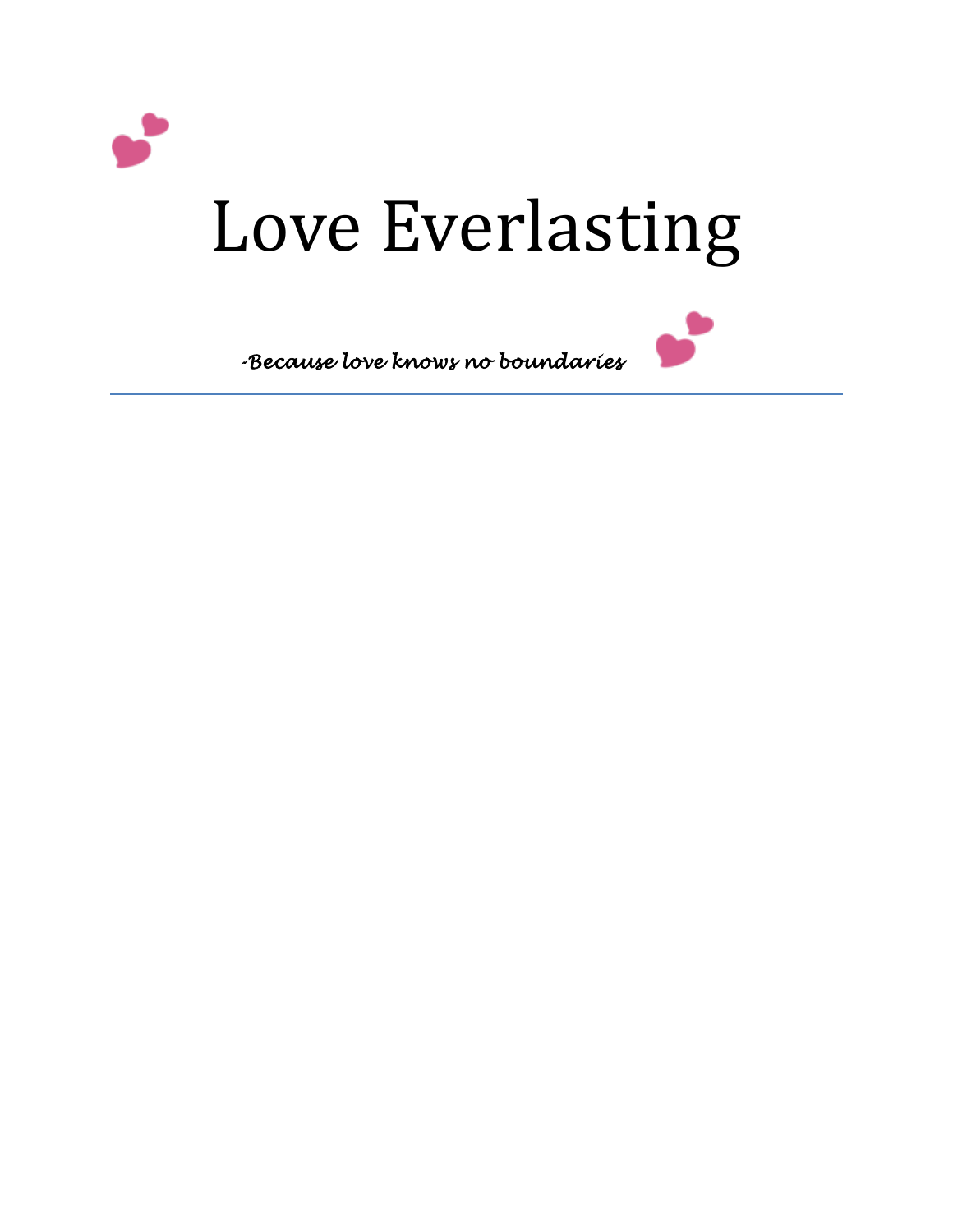

# Love Everlasting



*-Because love knows no boundaries*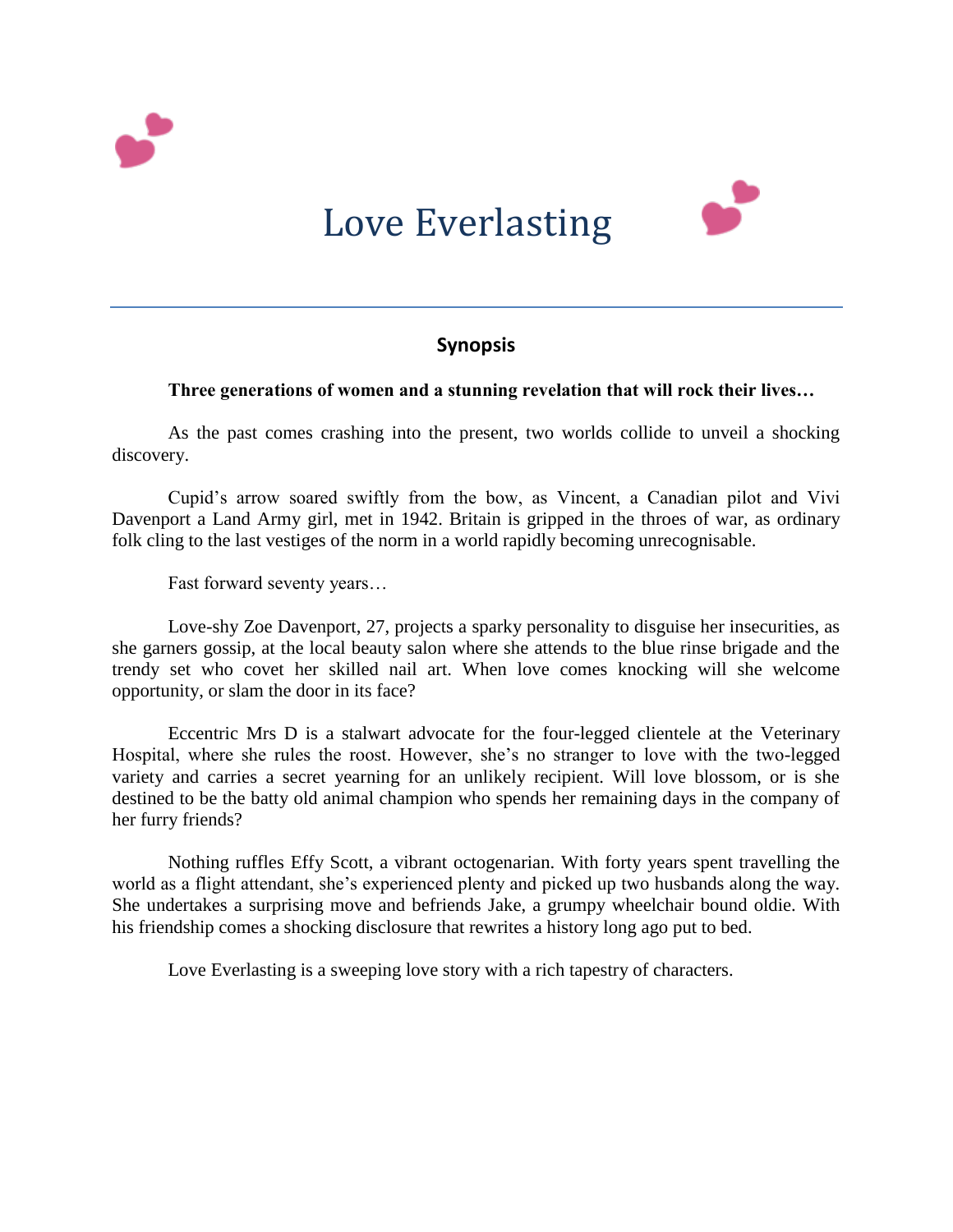

# Love Everlasting



# **Synopsis**

## **Three generations of women and a stunning revelation that will rock their lives…**

As the past comes crashing into the present, two worlds collide to unveil a shocking discovery.

 Cupid's arrow soared swiftly from the bow, as Vincent, a Canadian pilot and Vivi Davenport a Land Army girl, met in 1942. Britain is gripped in the throes of war, as ordinary folk cling to the last vestiges of the norm in a world rapidly becoming unrecognisable.

Fast forward seventy years…

 Love-shy Zoe Davenport, 27, projects a sparky personality to disguise her insecurities, as she garners gossip, at the local beauty salon where she attends to the blue rinse brigade and the trendy set who covet her skilled nail art. When love comes knocking will she welcome opportunity, or slam the door in its face?

 Eccentric Mrs D is a stalwart advocate for the four-legged clientele at the Veterinary Hospital, where she rules the roost. However, she's no stranger to love with the two-legged variety and carries a secret yearning for an unlikely recipient. Will love blossom, or is she destined to be the batty old animal champion who spends her remaining days in the company of her furry friends?

 Nothing ruffles Effy Scott, a vibrant octogenarian. With forty years spent travelling the world as a flight attendant, she's experienced plenty and picked up two husbands along the way. She undertakes a surprising move and befriends Jake, a grumpy wheelchair bound oldie. With his friendship comes a shocking disclosure that rewrites a history long ago put to bed.

Love Everlasting is a sweeping love story with a rich tapestry of characters.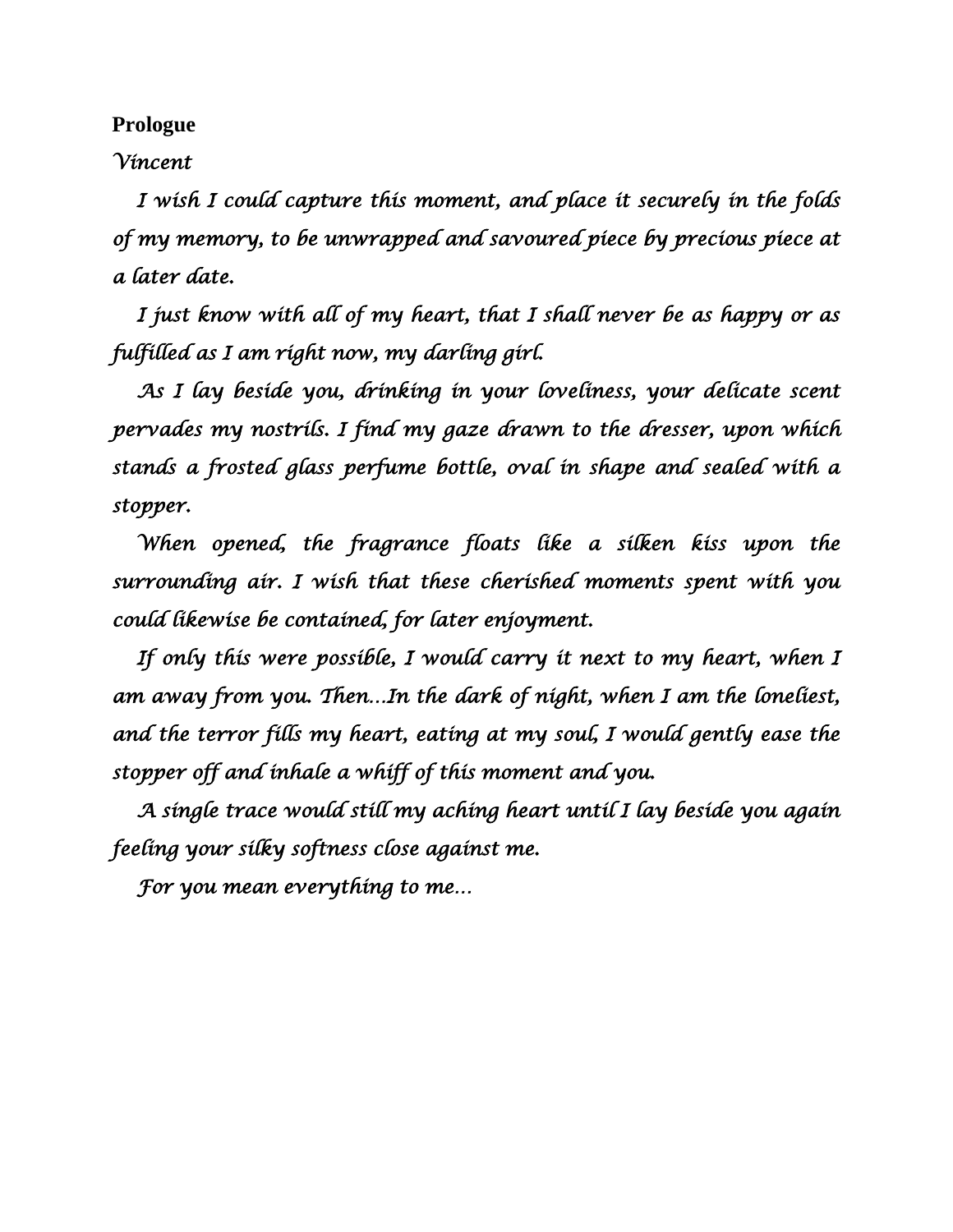**Prologue**

# *Vincent*

 *I wish I could capture this moment, and place it securely in the folds of my memory, to be unwrapped and savoured piece by precious piece at a later date.* 

 *I just know with all of my heart, that I shall never be as happy or as fulfilled as I am right now, my darling girl.* 

 *As I lay beside you, drinking in your loveliness, your delicate scent pervades my nostrils. I find my gaze drawn to the dresser, upon which stands a frosted glass perfume bottle, oval in shape and sealed with a stopper.* 

 *When opened, the fragrance floats like a silken kiss upon the surrounding air. I wish that these cherished moments spent with you could likewise be contained, for later enjoyment.* 

 *If only this were possible, I would carry it next to my heart, when I am away from you. Then…In the dark of night, when I am the loneliest, and the terror fills my heart, eating at my soul, I would gently ease the stopper off and inhale a whiff of this moment and you.* 

 *A single trace would still my aching heart until I lay beside you again feeling your silky softness close against me.* 

 *For you mean everything to me…*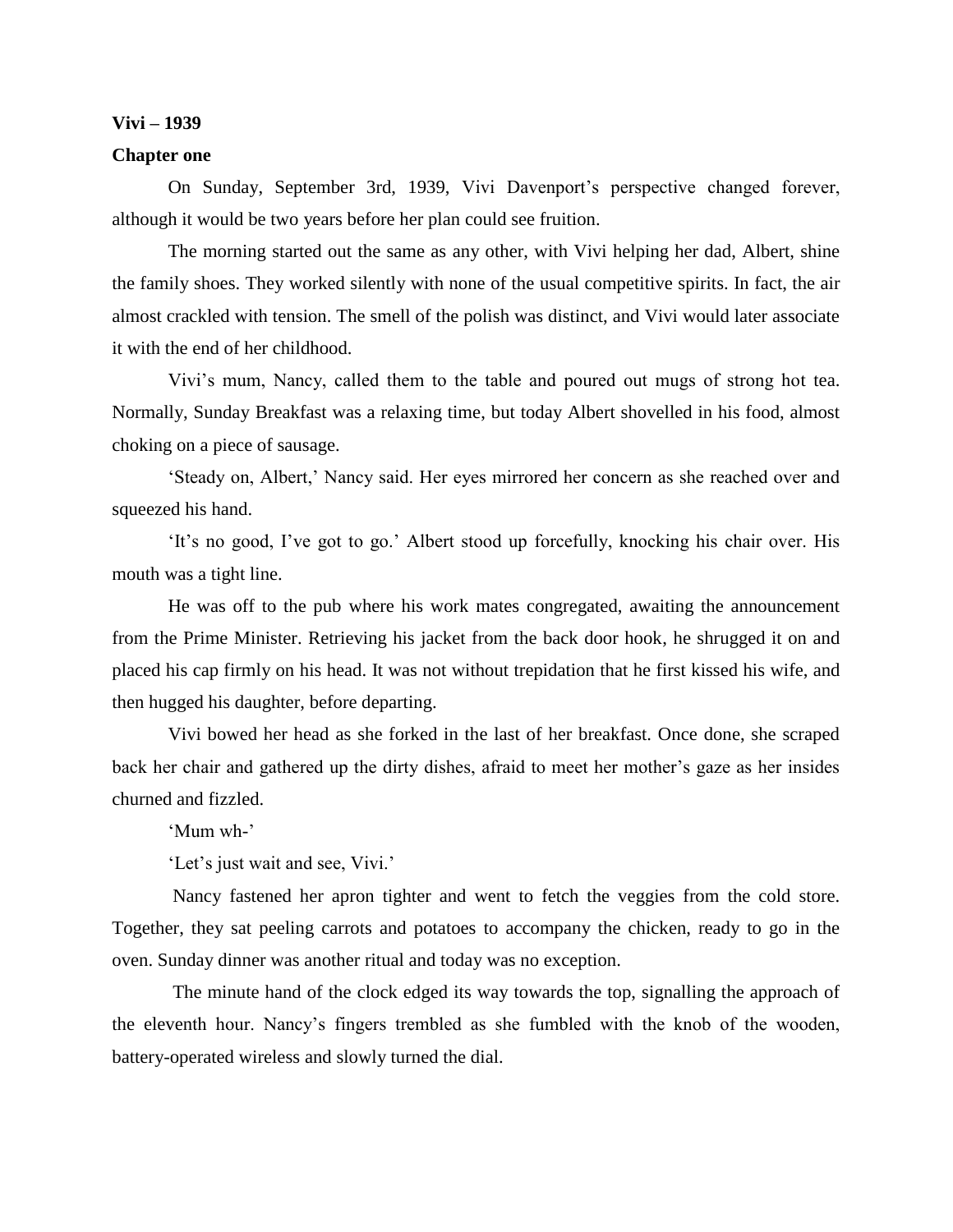#### **Vivi – 1939**

#### **Chapter one**

On Sunday, September 3rd, 1939, Vivi Davenport's perspective changed forever, although it would be two years before her plan could see fruition.

The morning started out the same as any other, with Vivi helping her dad, Albert, shine the family shoes. They worked silently with none of the usual competitive spirits. In fact, the air almost crackled with tension. The smell of the polish was distinct, and Vivi would later associate it with the end of her childhood.

Vivi's mum, Nancy, called them to the table and poured out mugs of strong hot tea. Normally, Sunday Breakfast was a relaxing time, but today Albert shovelled in his food, almost choking on a piece of sausage.

'Steady on, Albert,' Nancy said. Her eyes mirrored her concern as she reached over and squeezed his hand.

'It's no good, I've got to go.' Albert stood up forcefully, knocking his chair over. His mouth was a tight line.

He was off to the pub where his work mates congregated, awaiting the announcement from the Prime Minister. Retrieving his jacket from the back door hook, he shrugged it on and placed his cap firmly on his head. It was not without trepidation that he first kissed his wife, and then hugged his daughter, before departing.

Vivi bowed her head as she forked in the last of her breakfast. Once done, she scraped back her chair and gathered up the dirty dishes, afraid to meet her mother's gaze as her insides churned and fizzled.

'Mum wh-'

'Let's just wait and see, Vivi.'

Nancy fastened her apron tighter and went to fetch the veggies from the cold store. Together, they sat peeling carrots and potatoes to accompany the chicken, ready to go in the oven. Sunday dinner was another ritual and today was no exception.

The minute hand of the clock edged its way towards the top, signalling the approach of the eleventh hour. Nancy's fingers trembled as she fumbled with the knob of the wooden, battery-operated wireless and slowly turned the dial.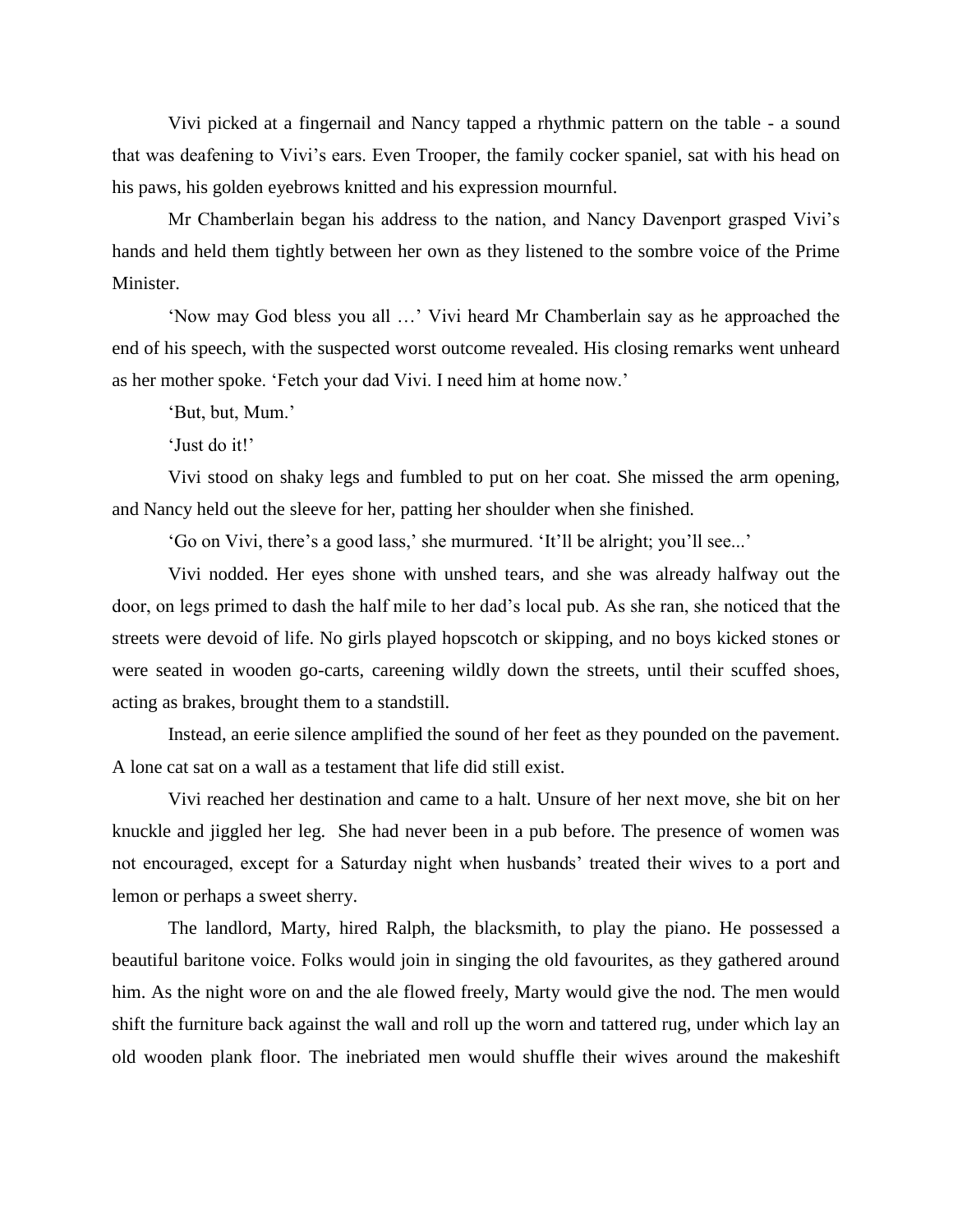Vivi picked at a fingernail and Nancy tapped a rhythmic pattern on the table - a sound that was deafening to Vivi's ears. Even Trooper, the family cocker spaniel, sat with his head on his paws, his golden eyebrows knitted and his expression mournful.

Mr Chamberlain began his address to the nation, and Nancy Davenport grasped Vivi's hands and held them tightly between her own as they listened to the sombre voice of the Prime Minister.

'Now may God bless you all …' Vivi heard Mr Chamberlain say as he approached the end of his speech, with the suspected worst outcome revealed. His closing remarks went unheard as her mother spoke. 'Fetch your dad Vivi. I need him at home now.'

'But, but, Mum.'

'Just do it!'

Vivi stood on shaky legs and fumbled to put on her coat. She missed the arm opening, and Nancy held out the sleeve for her, patting her shoulder when she finished.

'Go on Vivi, there's a good lass,' she murmured. 'It'll be alright; you'll see...'

Vivi nodded. Her eyes shone with unshed tears, and she was already halfway out the door, on legs primed to dash the half mile to her dad's local pub. As she ran, she noticed that the streets were devoid of life. No girls played hopscotch or skipping, and no boys kicked stones or were seated in wooden go-carts, careening wildly down the streets, until their scuffed shoes, acting as brakes, brought them to a standstill.

Instead, an eerie silence amplified the sound of her feet as they pounded on the pavement. A lone cat sat on a wall as a testament that life did still exist.

Vivi reached her destination and came to a halt. Unsure of her next move, she bit on her knuckle and jiggled her leg. She had never been in a pub before. The presence of women was not encouraged, except for a Saturday night when husbands' treated their wives to a port and lemon or perhaps a sweet sherry.

The landlord, Marty, hired Ralph, the blacksmith, to play the piano. He possessed a beautiful baritone voice. Folks would join in singing the old favourites, as they gathered around him. As the night wore on and the ale flowed freely, Marty would give the nod. The men would shift the furniture back against the wall and roll up the worn and tattered rug, under which lay an old wooden plank floor. The inebriated men would shuffle their wives around the makeshift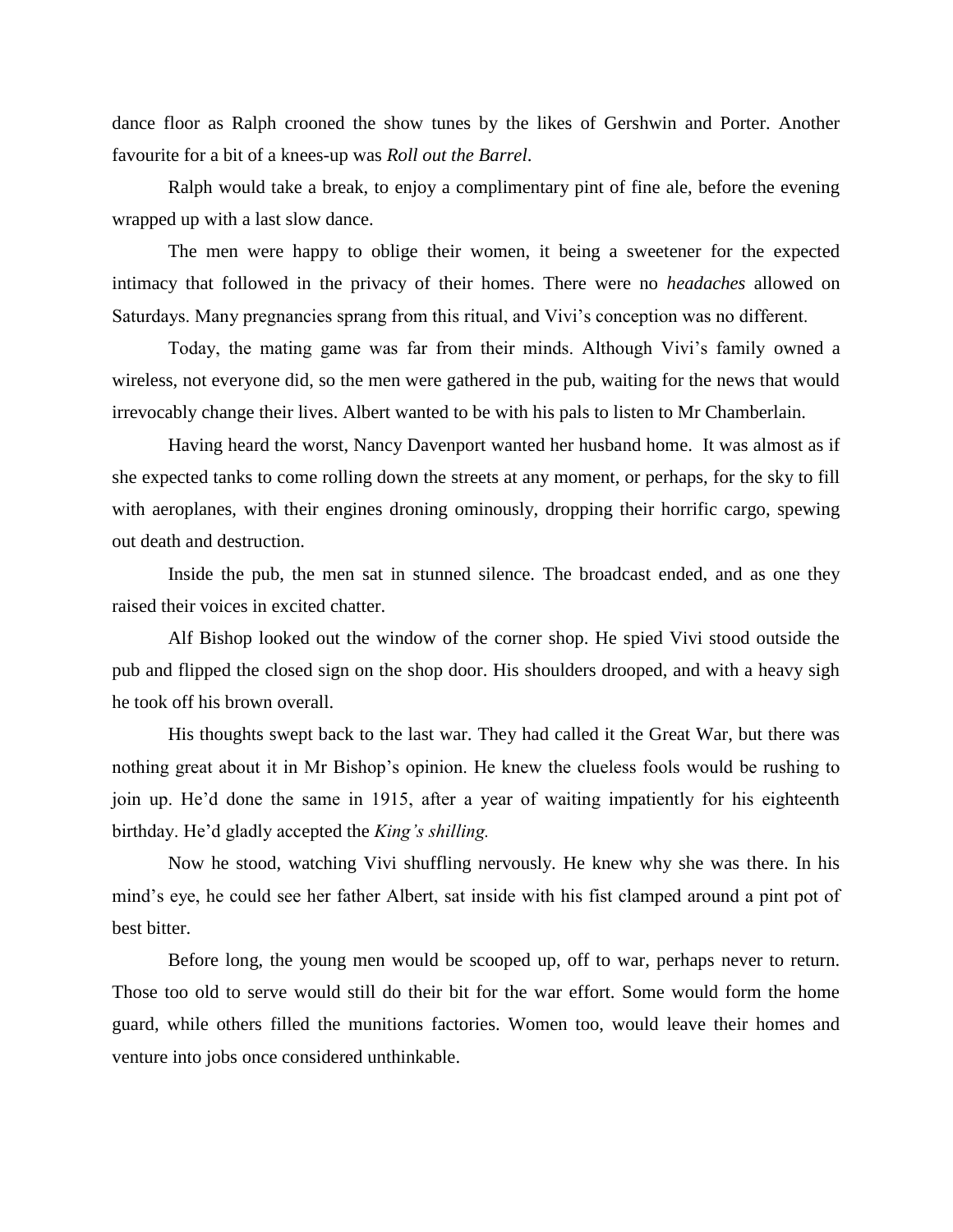dance floor as Ralph crooned the show tunes by the likes of Gershwin and Porter. Another favourite for a bit of a knees-up was *Roll out the Barrel*.

Ralph would take a break, to enjoy a complimentary pint of fine ale, before the evening wrapped up with a last slow dance.

The men were happy to oblige their women, it being a sweetener for the expected intimacy that followed in the privacy of their homes. There were no *headaches* allowed on Saturdays. Many pregnancies sprang from this ritual, and Vivi's conception was no different.

Today, the mating game was far from their minds. Although Vivi's family owned a wireless, not everyone did, so the men were gathered in the pub, waiting for the news that would irrevocably change their lives. Albert wanted to be with his pals to listen to Mr Chamberlain.

Having heard the worst, Nancy Davenport wanted her husband home. It was almost as if she expected tanks to come rolling down the streets at any moment, or perhaps, for the sky to fill with aeroplanes, with their engines droning ominously, dropping their horrific cargo, spewing out death and destruction.

Inside the pub, the men sat in stunned silence. The broadcast ended, and as one they raised their voices in excited chatter.

Alf Bishop looked out the window of the corner shop. He spied Vivi stood outside the pub and flipped the closed sign on the shop door. His shoulders drooped, and with a heavy sigh he took off his brown overall.

His thoughts swept back to the last war. They had called it the Great War, but there was nothing great about it in Mr Bishop's opinion. He knew the clueless fools would be rushing to join up. He'd done the same in 1915, after a year of waiting impatiently for his eighteenth birthday. He'd gladly accepted the *King's shilling.* 

Now he stood, watching Vivi shuffling nervously. He knew why she was there. In his mind's eye, he could see her father Albert, sat inside with his fist clamped around a pint pot of best bitter.

Before long, the young men would be scooped up, off to war, perhaps never to return. Those too old to serve would still do their bit for the war effort. Some would form the home guard, while others filled the munitions factories. Women too, would leave their homes and venture into jobs once considered unthinkable.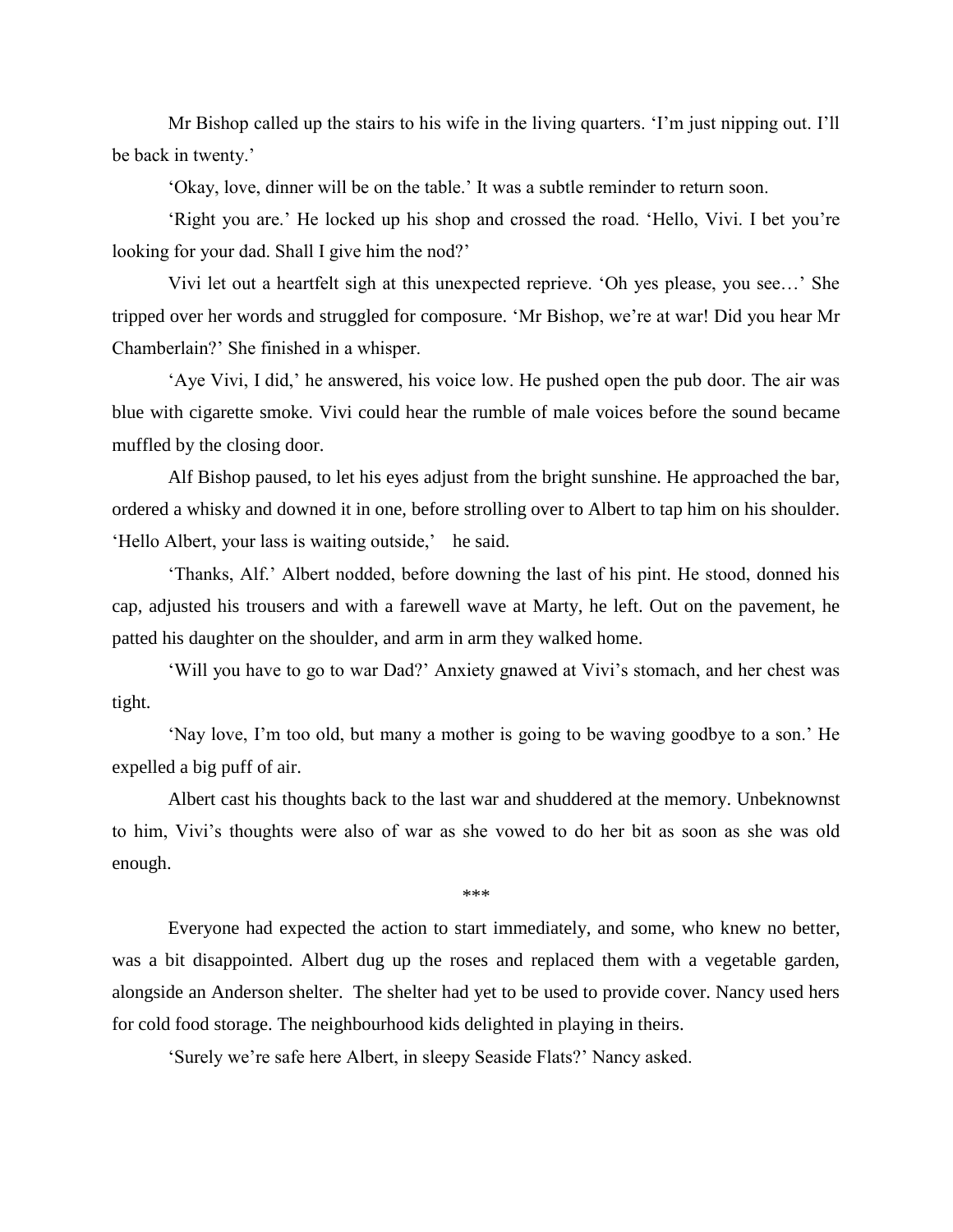Mr Bishop called up the stairs to his wife in the living quarters. 'I'm just nipping out. I'll be back in twenty.'

'Okay, love, dinner will be on the table.' It was a subtle reminder to return soon.

'Right you are.' He locked up his shop and crossed the road. 'Hello, Vivi. I bet you're looking for your dad. Shall I give him the nod?'

Vivi let out a heartfelt sigh at this unexpected reprieve. 'Oh yes please, you see…' She tripped over her words and struggled for composure. 'Mr Bishop, we're at war! Did you hear Mr Chamberlain?' She finished in a whisper.

'Aye Vivi, I did,' he answered, his voice low. He pushed open the pub door. The air was blue with cigarette smoke. Vivi could hear the rumble of male voices before the sound became muffled by the closing door.

Alf Bishop paused, to let his eyes adjust from the bright sunshine. He approached the bar, ordered a whisky and downed it in one, before strolling over to Albert to tap him on his shoulder. 'Hello Albert, your lass is waiting outside,' he said.

'Thanks, Alf.' Albert nodded, before downing the last of his pint. He stood, donned his cap, adjusted his trousers and with a farewell wave at Marty, he left. Out on the pavement, he patted his daughter on the shoulder, and arm in arm they walked home.

'Will you have to go to war Dad?' Anxiety gnawed at Vivi's stomach, and her chest was tight.

'Nay love, I'm too old, but many a mother is going to be waving goodbye to a son.' He expelled a big puff of air.

Albert cast his thoughts back to the last war and shuddered at the memory. Unbeknownst to him, Vivi's thoughts were also of war as she vowed to do her bit as soon as she was old enough.

\*\*\*

Everyone had expected the action to start immediately, and some, who knew no better, was a bit disappointed. Albert dug up the roses and replaced them with a vegetable garden, alongside an Anderson shelter. The shelter had yet to be used to provide cover. Nancy used hers for cold food storage. The neighbourhood kids delighted in playing in theirs.

'Surely we're safe here Albert, in sleepy Seaside Flats?' Nancy asked.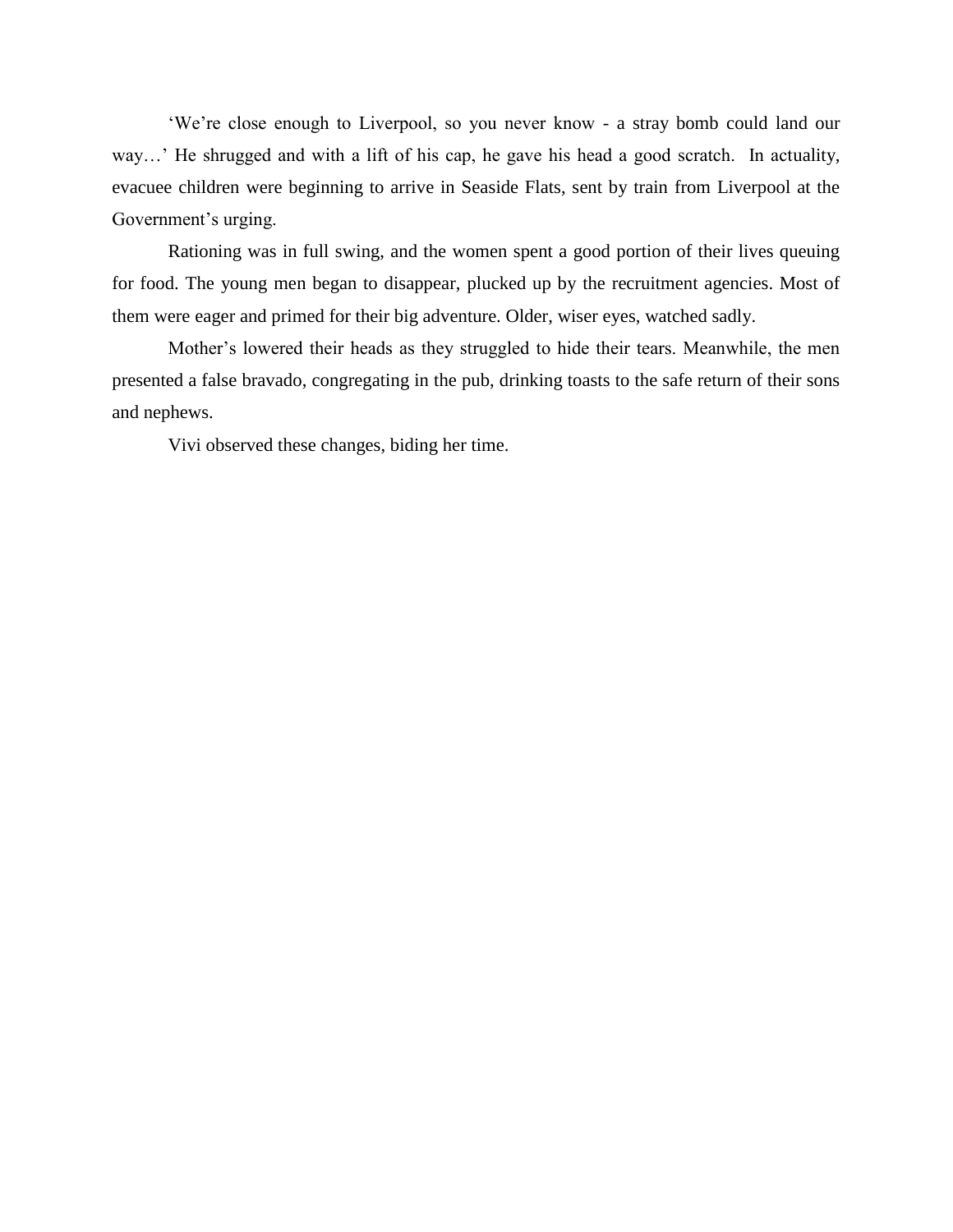'We're close enough to Liverpool, so you never know - a stray bomb could land our way…' He shrugged and with a lift of his cap, he gave his head a good scratch. In actuality, evacuee children were beginning to arrive in Seaside Flats, sent by train from Liverpool at the Government's urging.

Rationing was in full swing, and the women spent a good portion of their lives queuing for food. The young men began to disappear, plucked up by the recruitment agencies. Most of them were eager and primed for their big adventure. Older, wiser eyes, watched sadly.

Mother's lowered their heads as they struggled to hide their tears. Meanwhile, the men presented a false bravado, congregating in the pub, drinking toasts to the safe return of their sons and nephews.

Vivi observed these changes, biding her time.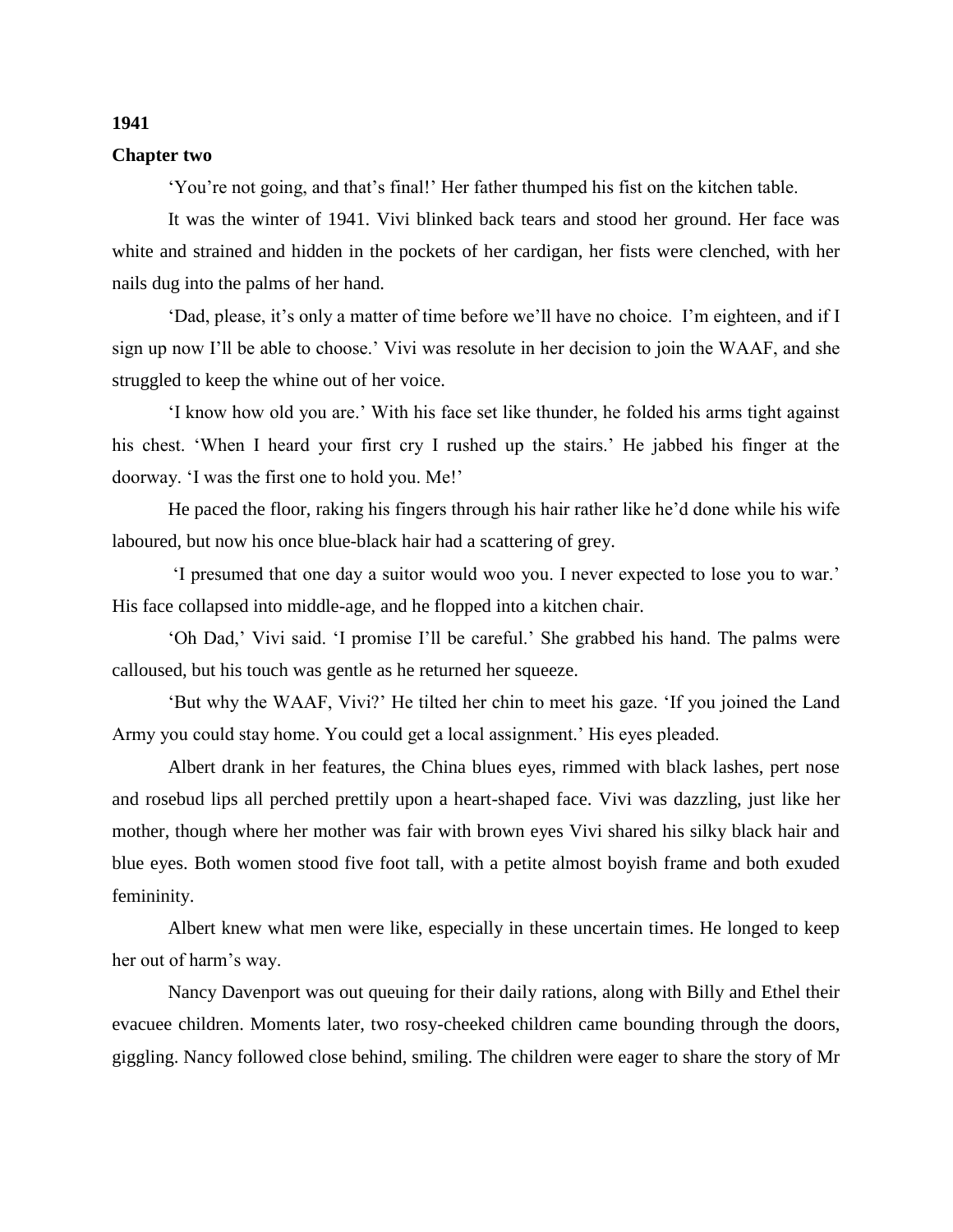#### **Chapter two**

'You're not going, and that's final!' Her father thumped his fist on the kitchen table.

It was the winter of 1941. Vivi blinked back tears and stood her ground. Her face was white and strained and hidden in the pockets of her cardigan, her fists were clenched, with her nails dug into the palms of her hand.

'Dad, please, it's only a matter of time before we'll have no choice. I'm eighteen, and if I sign up now I'll be able to choose.' Vivi was resolute in her decision to join the WAAF, and she struggled to keep the whine out of her voice.

'I know how old you are.' With his face set like thunder, he folded his arms tight against his chest. 'When I heard your first cry I rushed up the stairs.' He jabbed his finger at the doorway. 'I was the first one to hold you. Me!'

He paced the floor, raking his fingers through his hair rather like he'd done while his wife laboured, but now his once blue-black hair had a scattering of grey.

'I presumed that one day a suitor would woo you. I never expected to lose you to war.' His face collapsed into middle-age, and he flopped into a kitchen chair.

'Oh Dad,' Vivi said. 'I promise I'll be careful.' She grabbed his hand. The palms were calloused, but his touch was gentle as he returned her squeeze.

'But why the WAAF, Vivi?' He tilted her chin to meet his gaze. 'If you joined the Land Army you could stay home. You could get a local assignment.' His eyes pleaded.

Albert drank in her features, the China blues eyes, rimmed with black lashes, pert nose and rosebud lips all perched prettily upon a heart-shaped face. Vivi was dazzling, just like her mother, though where her mother was fair with brown eyes Vivi shared his silky black hair and blue eyes. Both women stood five foot tall, with a petite almost boyish frame and both exuded femininity.

Albert knew what men were like, especially in these uncertain times. He longed to keep her out of harm's way.

Nancy Davenport was out queuing for their daily rations, along with Billy and Ethel their evacuee children. Moments later, two rosy-cheeked children came bounding through the doors, giggling. Nancy followed close behind, smiling. The children were eager to share the story of Mr

### **1941**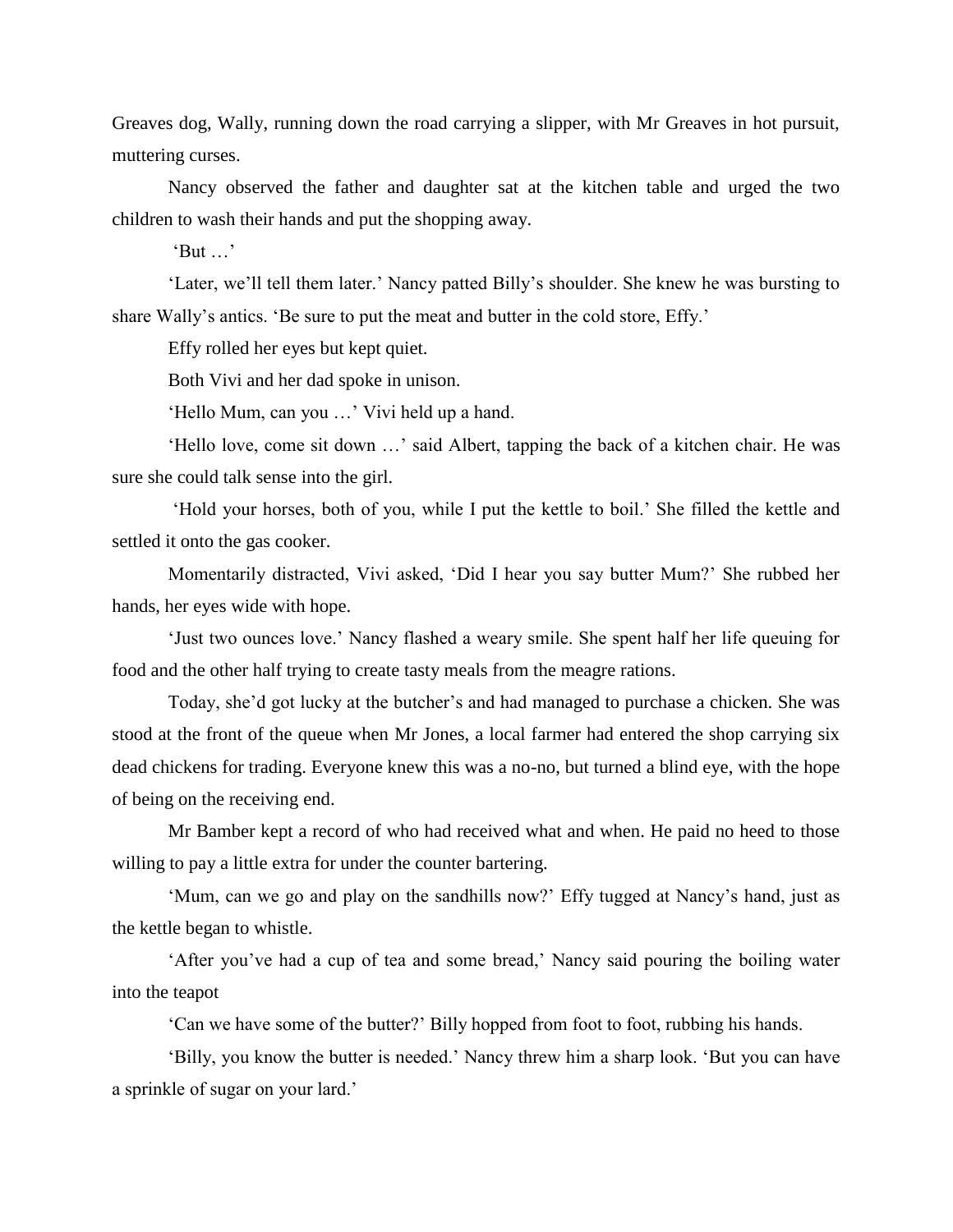Greaves dog, Wally, running down the road carrying a slipper, with Mr Greaves in hot pursuit, muttering curses.

Nancy observed the father and daughter sat at the kitchen table and urged the two children to wash their hands and put the shopping away.

'But …'

'Later, we'll tell them later.' Nancy patted Billy's shoulder. She knew he was bursting to share Wally's antics. 'Be sure to put the meat and butter in the cold store, Effy.'

Effy rolled her eyes but kept quiet.

Both Vivi and her dad spoke in unison.

'Hello Mum, can you …' Vivi held up a hand.

'Hello love, come sit down …' said Albert, tapping the back of a kitchen chair. He was sure she could talk sense into the girl.

'Hold your horses, both of you, while I put the kettle to boil.' She filled the kettle and settled it onto the gas cooker.

Momentarily distracted, Vivi asked, 'Did I hear you say butter Mum?' She rubbed her hands, her eyes wide with hope.

'Just two ounces love.' Nancy flashed a weary smile. She spent half her life queuing for food and the other half trying to create tasty meals from the meagre rations.

Today, she'd got lucky at the butcher's and had managed to purchase a chicken. She was stood at the front of the queue when Mr Jones, a local farmer had entered the shop carrying six dead chickens for trading. Everyone knew this was a no-no, but turned a blind eye, with the hope of being on the receiving end.

Mr Bamber kept a record of who had received what and when. He paid no heed to those willing to pay a little extra for under the counter bartering.

'Mum, can we go and play on the sandhills now?' Effy tugged at Nancy's hand, just as the kettle began to whistle.

'After you've had a cup of tea and some bread,' Nancy said pouring the boiling water into the teapot

'Can we have some of the butter?' Billy hopped from foot to foot, rubbing his hands.

'Billy, you know the butter is needed.' Nancy threw him a sharp look. 'But you can have a sprinkle of sugar on your lard.'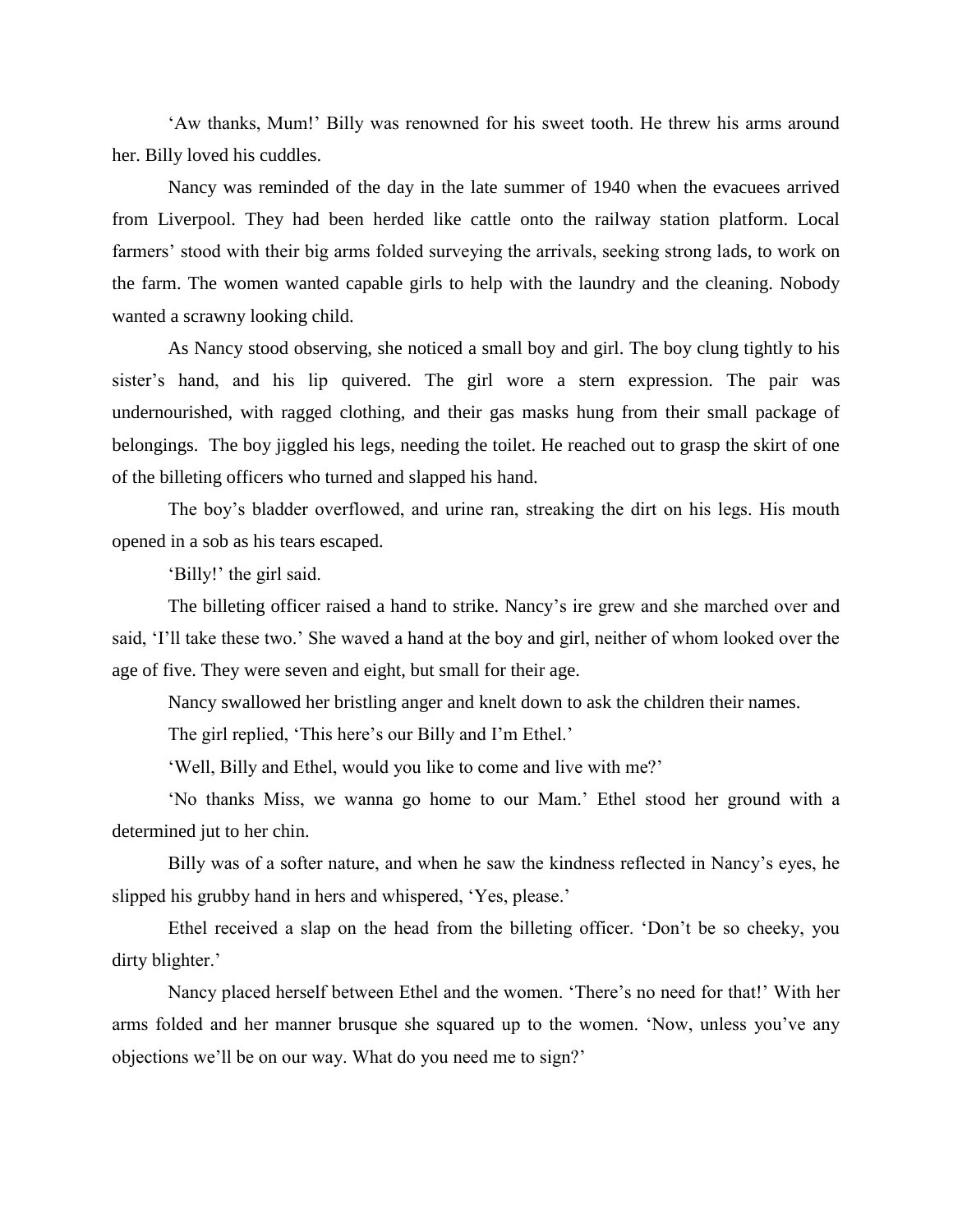'Aw thanks, Mum!' Billy was renowned for his sweet tooth. He threw his arms around her. Billy loved his cuddles.

Nancy was reminded of the day in the late summer of 1940 when the evacuees arrived from Liverpool. They had been herded like cattle onto the railway station platform. Local farmers' stood with their big arms folded surveying the arrivals, seeking strong lads, to work on the farm. The women wanted capable girls to help with the laundry and the cleaning. Nobody wanted a scrawny looking child.

As Nancy stood observing, she noticed a small boy and girl. The boy clung tightly to his sister's hand, and his lip quivered. The girl wore a stern expression. The pair was undernourished, with ragged clothing, and their gas masks hung from their small package of belongings. The boy jiggled his legs, needing the toilet. He reached out to grasp the skirt of one of the billeting officers who turned and slapped his hand.

The boy's bladder overflowed, and urine ran, streaking the dirt on his legs. His mouth opened in a sob as his tears escaped.

'Billy!' the girl said.

The billeting officer raised a hand to strike. Nancy's ire grew and she marched over and said, 'I'll take these two.' She waved a hand at the boy and girl, neither of whom looked over the age of five. They were seven and eight, but small for their age.

Nancy swallowed her bristling anger and knelt down to ask the children their names.

The girl replied, 'This here's our Billy and I'm Ethel.'

'Well, Billy and Ethel, would you like to come and live with me?'

'No thanks Miss, we wanna go home to our Mam.' Ethel stood her ground with a determined jut to her chin.

Billy was of a softer nature, and when he saw the kindness reflected in Nancy's eyes, he slipped his grubby hand in hers and whispered, 'Yes, please.'

Ethel received a slap on the head from the billeting officer. 'Don't be so cheeky, you dirty blighter.'

Nancy placed herself between Ethel and the women. 'There's no need for that!' With her arms folded and her manner brusque she squared up to the women. 'Now, unless you've any objections we'll be on our way. What do you need me to sign?'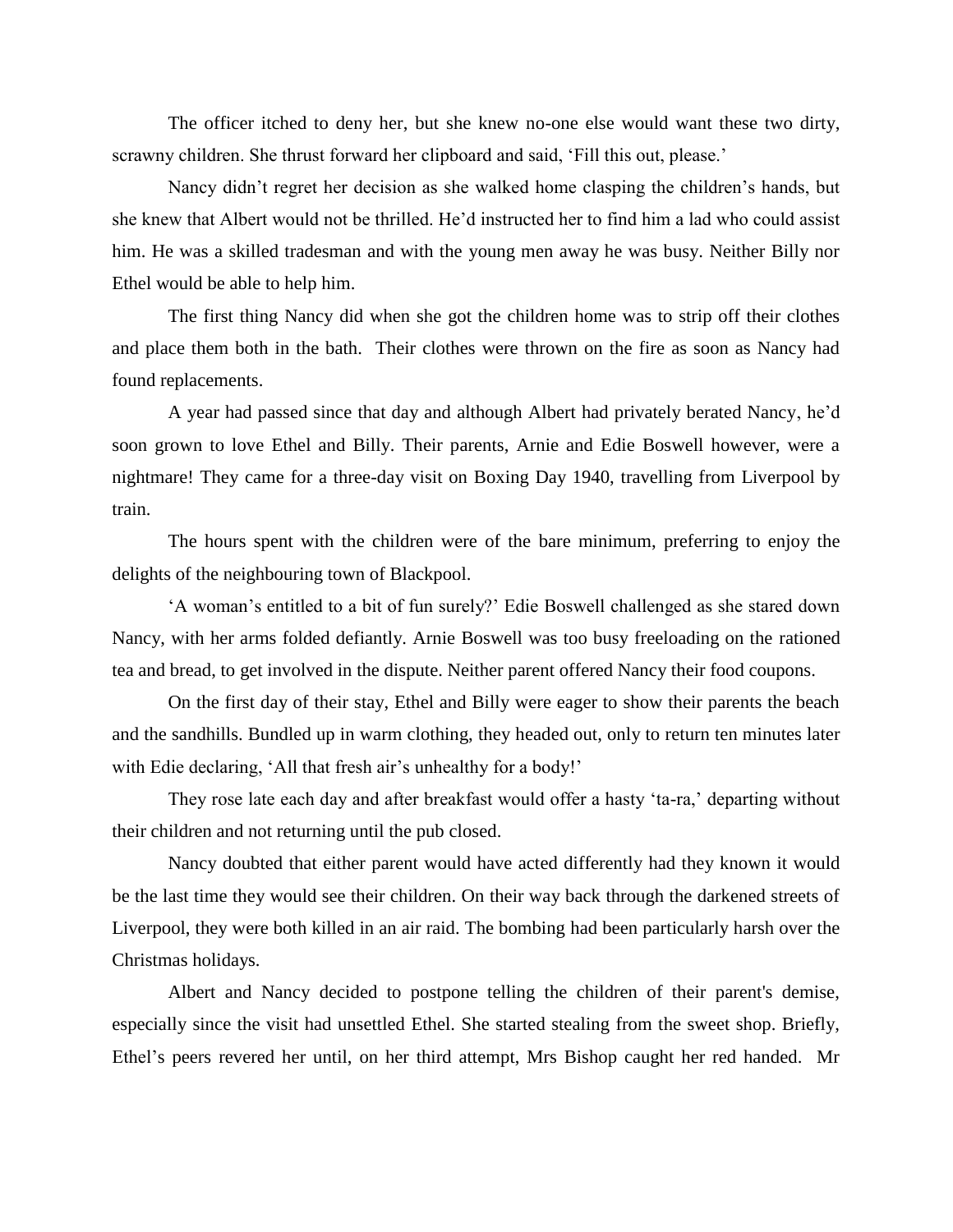The officer itched to deny her, but she knew no-one else would want these two dirty, scrawny children. She thrust forward her clipboard and said, 'Fill this out, please.'

Nancy didn't regret her decision as she walked home clasping the children's hands, but she knew that Albert would not be thrilled. He'd instructed her to find him a lad who could assist him. He was a skilled tradesman and with the young men away he was busy. Neither Billy nor Ethel would be able to help him.

The first thing Nancy did when she got the children home was to strip off their clothes and place them both in the bath. Their clothes were thrown on the fire as soon as Nancy had found replacements.

 A year had passed since that day and although Albert had privately berated Nancy, he'd soon grown to love Ethel and Billy. Their parents, Arnie and Edie Boswell however, were a nightmare! They came for a three-day visit on Boxing Day 1940, travelling from Liverpool by train.

 The hours spent with the children were of the bare minimum, preferring to enjoy the delights of the neighbouring town of Blackpool.

 'A woman's entitled to a bit of fun surely?' Edie Boswell challenged as she stared down Nancy, with her arms folded defiantly. Arnie Boswell was too busy freeloading on the rationed tea and bread, to get involved in the dispute. Neither parent offered Nancy their food coupons.

 On the first day of their stay, Ethel and Billy were eager to show their parents the beach and the sandhills. Bundled up in warm clothing, they headed out, only to return ten minutes later with Edie declaring, 'All that fresh air's unhealthy for a body!'

 They rose late each day and after breakfast would offer a hasty 'ta-ra,' departing without their children and not returning until the pub closed.

 Nancy doubted that either parent would have acted differently had they known it would be the last time they would see their children. On their way back through the darkened streets of Liverpool, they were both killed in an air raid. The bombing had been particularly harsh over the Christmas holidays.

 Albert and Nancy decided to postpone telling the children of their parent's demise, especially since the visit had unsettled Ethel. She started stealing from the sweet shop. Briefly, Ethel's peers revered her until, on her third attempt, Mrs Bishop caught her red handed. Mr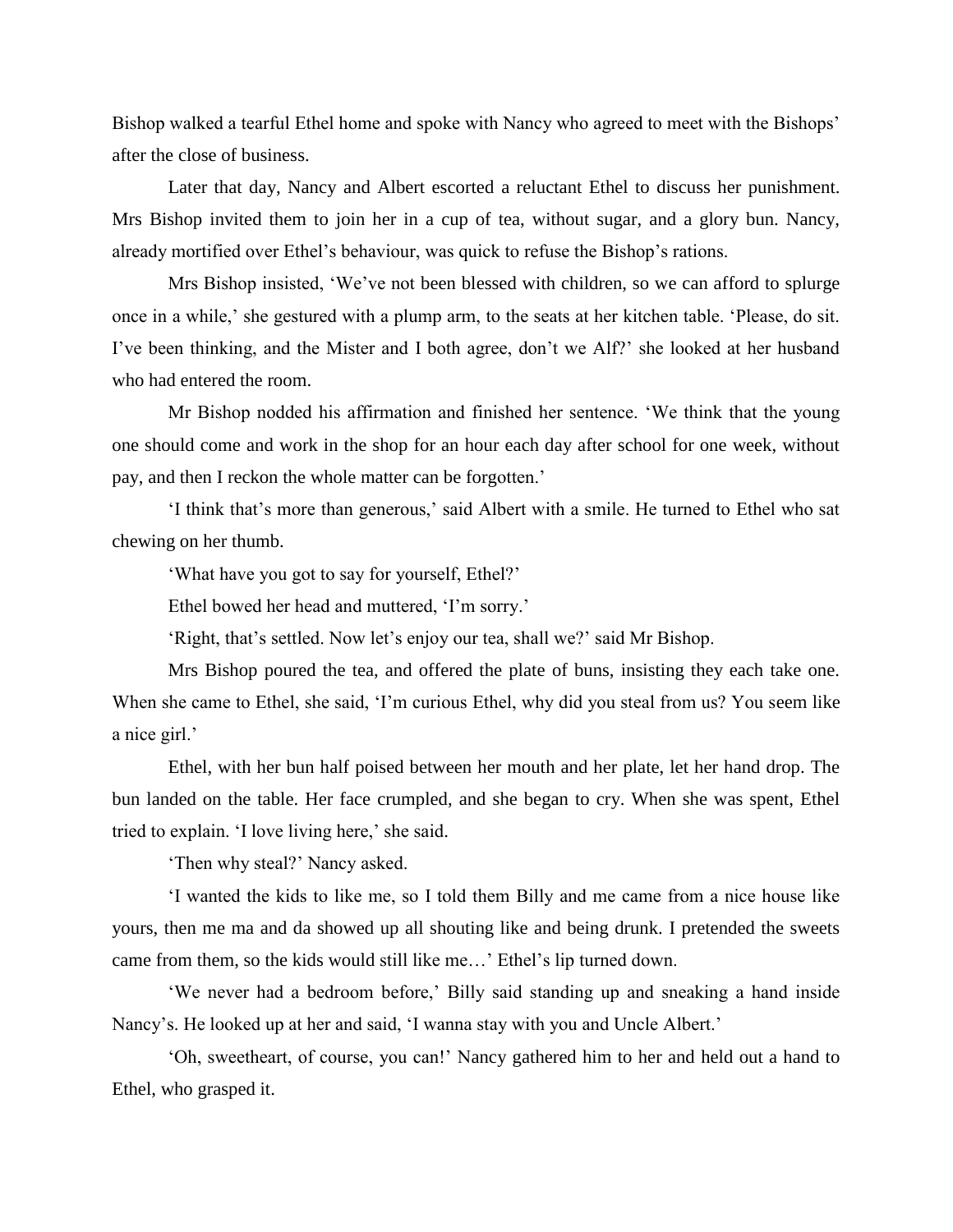Bishop walked a tearful Ethel home and spoke with Nancy who agreed to meet with the Bishops' after the close of business.

 Later that day, Nancy and Albert escorted a reluctant Ethel to discuss her punishment. Mrs Bishop invited them to join her in a cup of tea, without sugar, and a glory bun. Nancy, already mortified over Ethel's behaviour, was quick to refuse the Bishop's rations.

Mrs Bishop insisted, 'We've not been blessed with children, so we can afford to splurge once in a while,' she gestured with a plump arm, to the seats at her kitchen table. 'Please, do sit. I've been thinking, and the Mister and I both agree, don't we Alf?' she looked at her husband who had entered the room.

 Mr Bishop nodded his affirmation and finished her sentence. 'We think that the young one should come and work in the shop for an hour each day after school for one week, without pay, and then I reckon the whole matter can be forgotten.'

 'I think that's more than generous,' said Albert with a smile. He turned to Ethel who sat chewing on her thumb.

'What have you got to say for yourself, Ethel?'

Ethel bowed her head and muttered, 'I'm sorry.'

'Right, that's settled. Now let's enjoy our tea, shall we?' said Mr Bishop.

 Mrs Bishop poured the tea, and offered the plate of buns, insisting they each take one. When she came to Ethel, she said, 'I'm curious Ethel, why did you steal from us? You seem like a nice girl.'

 Ethel, with her bun half poised between her mouth and her plate, let her hand drop. The bun landed on the table. Her face crumpled, and she began to cry. When she was spent, Ethel tried to explain. 'I love living here,' she said.

'Then why steal?' Nancy asked.

 'I wanted the kids to like me, so I told them Billy and me came from a nice house like yours, then me ma and da showed up all shouting like and being drunk. I pretended the sweets came from them, so the kids would still like me…' Ethel's lip turned down.

 'We never had a bedroom before,' Billy said standing up and sneaking a hand inside Nancy's. He looked up at her and said, 'I wanna stay with you and Uncle Albert.'

 'Oh, sweetheart, of course, you can!' Nancy gathered him to her and held out a hand to Ethel, who grasped it.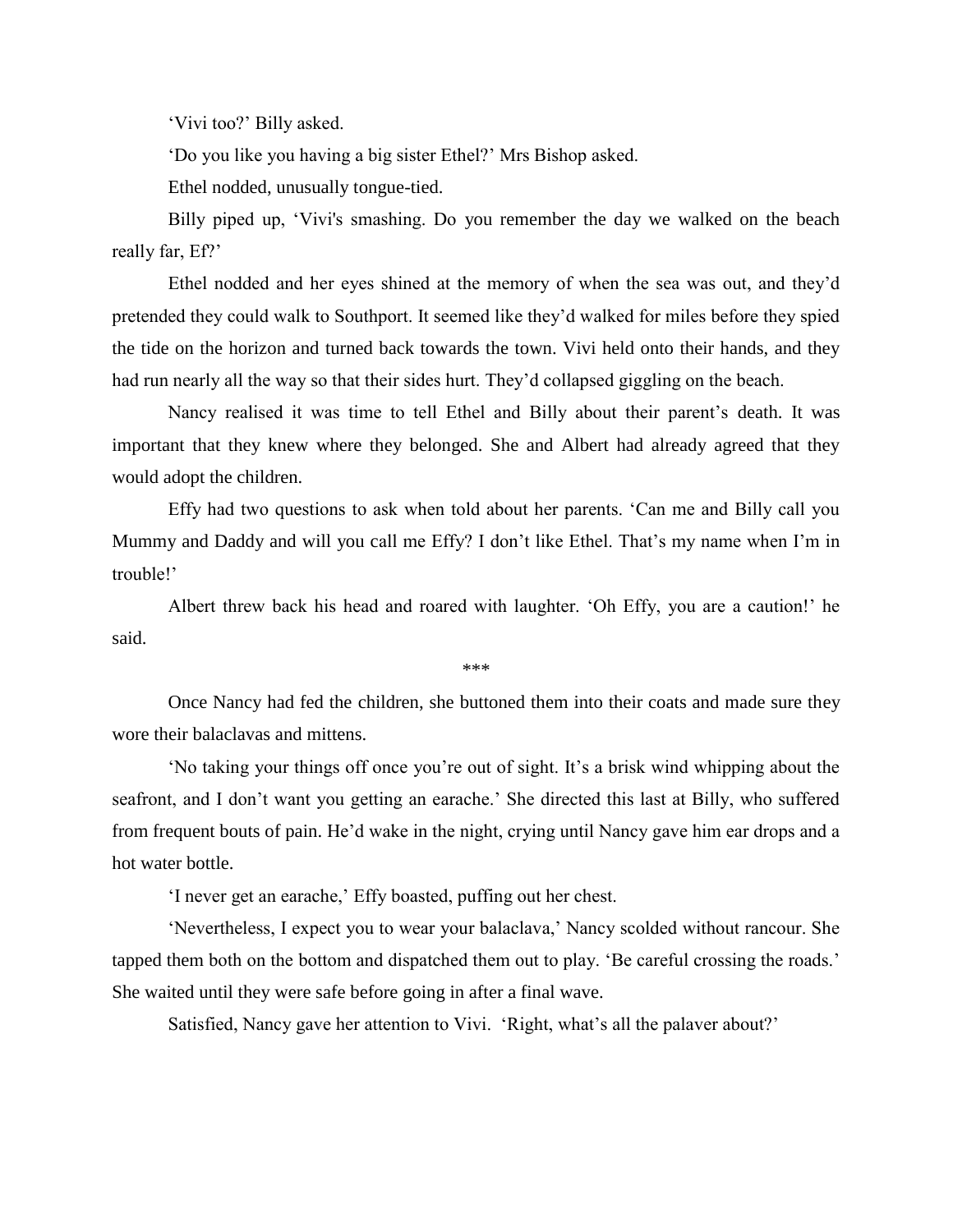'Vivi too?' Billy asked.

'Do you like you having a big sister Ethel?' Mrs Bishop asked.

Ethel nodded, unusually tongue-tied.

 Billy piped up, 'Vivi's smashing. Do you remember the day we walked on the beach really far, Ef?'

 Ethel nodded and her eyes shined at the memory of when the sea was out, and they'd pretended they could walk to Southport. It seemed like they'd walked for miles before they spied the tide on the horizon and turned back towards the town. Vivi held onto their hands, and they had run nearly all the way so that their sides hurt. They'd collapsed giggling on the beach.

 Nancy realised it was time to tell Ethel and Billy about their parent's death. It was important that they knew where they belonged. She and Albert had already agreed that they would adopt the children.

 Effy had two questions to ask when told about her parents. 'Can me and Billy call you Mummy and Daddy and will you call me Effy? I don't like Ethel. That's my name when I'm in trouble!'

 Albert threw back his head and roared with laughter. 'Oh Effy, you are a caution!' he said.

\*\*\*

Once Nancy had fed the children, she buttoned them into their coats and made sure they wore their balaclavas and mittens.

'No taking your things off once you're out of sight. It's a brisk wind whipping about the seafront, and I don't want you getting an earache.' She directed this last at Billy, who suffered from frequent bouts of pain. He'd wake in the night, crying until Nancy gave him ear drops and a hot water bottle.

'I never get an earache,' Effy boasted, puffing out her chest.

 'Nevertheless, I expect you to wear your balaclava,' Nancy scolded without rancour. She tapped them both on the bottom and dispatched them out to play. 'Be careful crossing the roads.' She waited until they were safe before going in after a final wave.

Satisfied, Nancy gave her attention to Vivi. 'Right, what's all the palaver about?'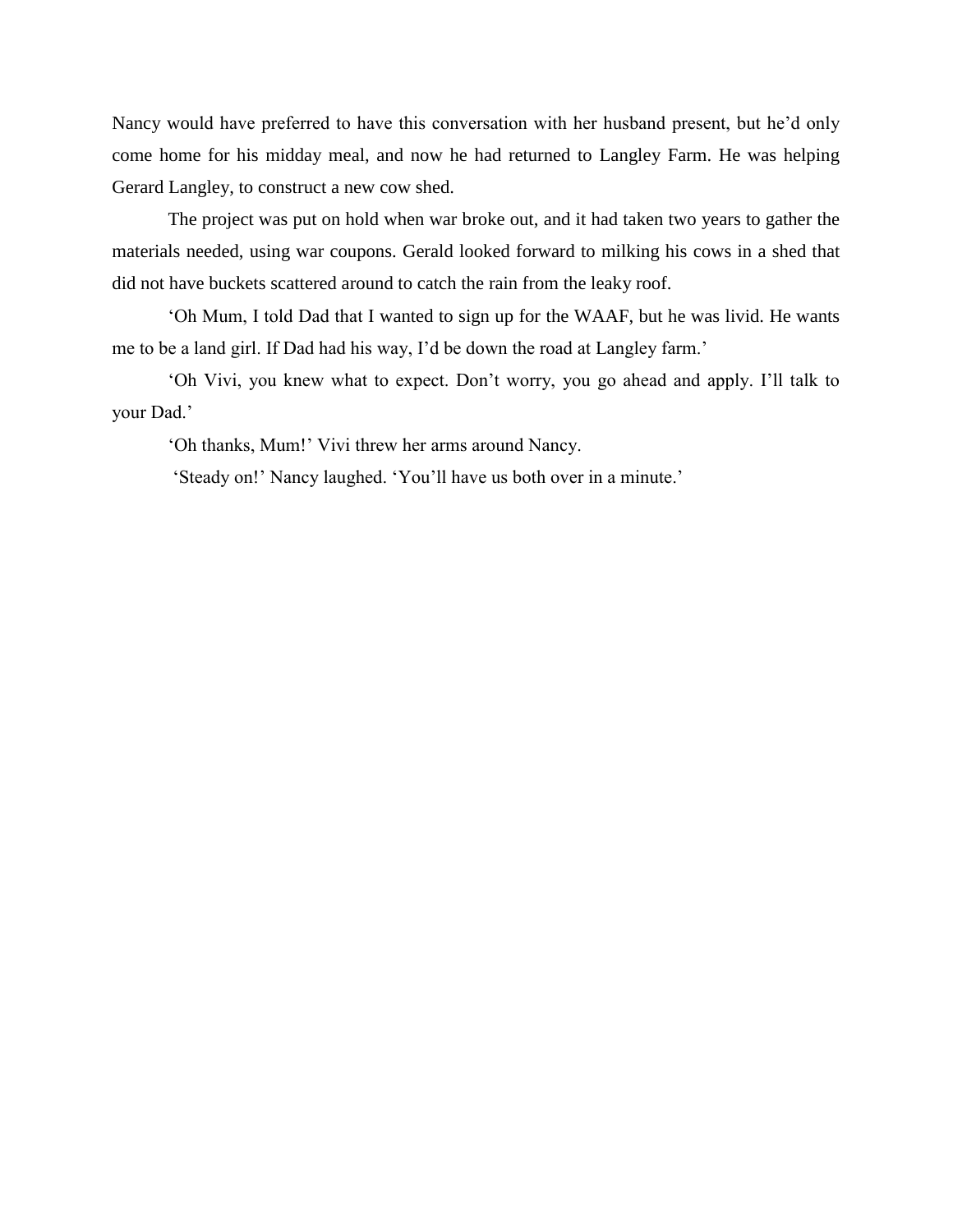Nancy would have preferred to have this conversation with her husband present, but he'd only come home for his midday meal, and now he had returned to Langley Farm. He was helping Gerard Langley, to construct a new cow shed.

The project was put on hold when war broke out, and it had taken two years to gather the materials needed, using war coupons. Gerald looked forward to milking his cows in a shed that did not have buckets scattered around to catch the rain from the leaky roof.

'Oh Mum, I told Dad that I wanted to sign up for the WAAF, but he was livid. He wants me to be a land girl. If Dad had his way, I'd be down the road at Langley farm.'

 'Oh Vivi, you knew what to expect. Don't worry, you go ahead and apply. I'll talk to your Dad.'

'Oh thanks, Mum!' Vivi threw her arms around Nancy.

'Steady on!' Nancy laughed. 'You'll have us both over in a minute.'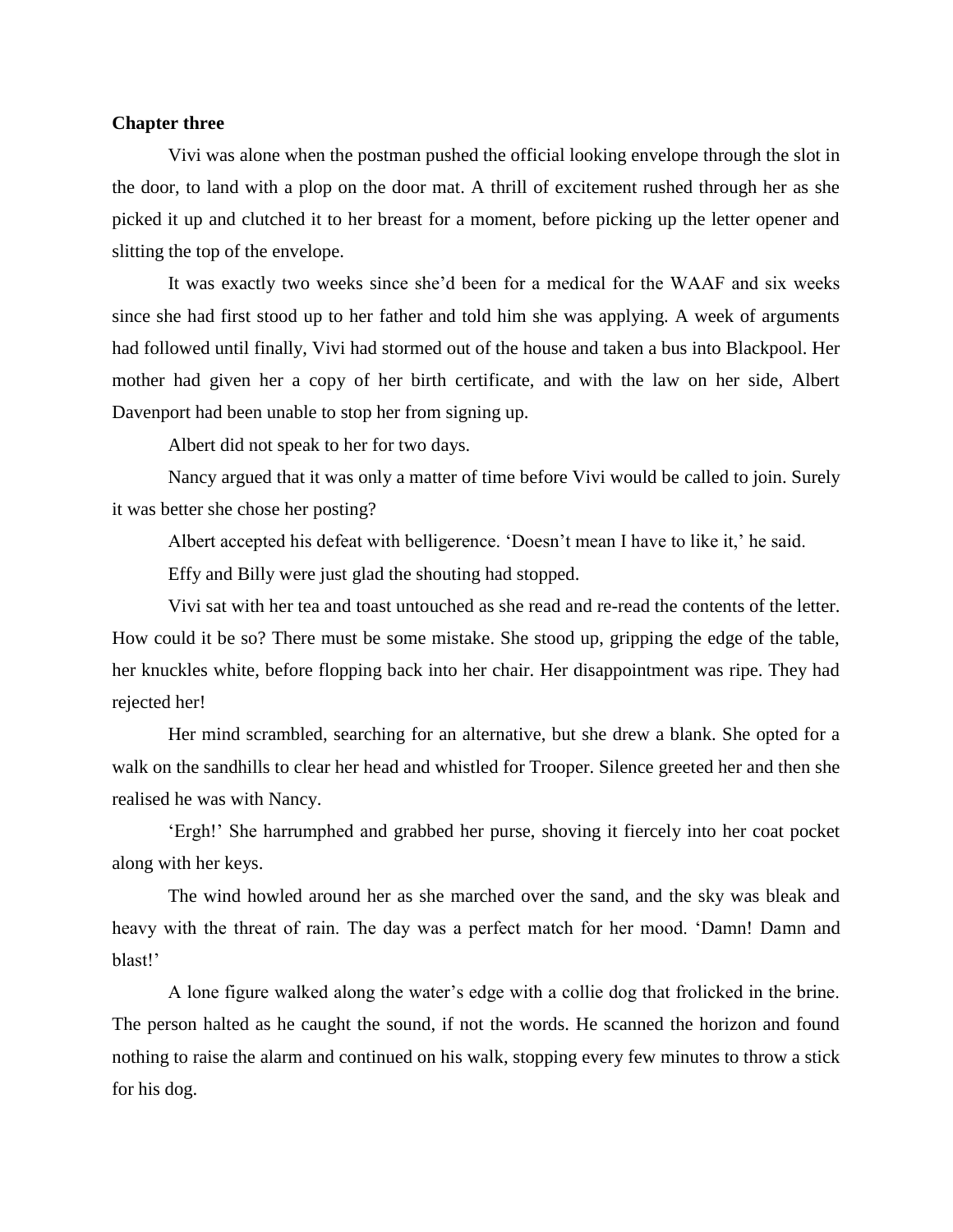#### **Chapter three**

 Vivi was alone when the postman pushed the official looking envelope through the slot in the door, to land with a plop on the door mat. A thrill of excitement rushed through her as she picked it up and clutched it to her breast for a moment, before picking up the letter opener and slitting the top of the envelope.

 It was exactly two weeks since she'd been for a medical for the WAAF and six weeks since she had first stood up to her father and told him she was applying. A week of arguments had followed until finally, Vivi had stormed out of the house and taken a bus into Blackpool. Her mother had given her a copy of her birth certificate, and with the law on her side, Albert Davenport had been unable to stop her from signing up.

Albert did not speak to her for two days.

Nancy argued that it was only a matter of time before Vivi would be called to join. Surely it was better she chose her posting?

Albert accepted his defeat with belligerence. 'Doesn't mean I have to like it,' he said.

Effy and Billy were just glad the shouting had stopped.

 Vivi sat with her tea and toast untouched as she read and re-read the contents of the letter. How could it be so? There must be some mistake. She stood up, gripping the edge of the table, her knuckles white, before flopping back into her chair. Her disappointment was ripe. They had rejected her!

 Her mind scrambled, searching for an alternative, but she drew a blank. She opted for a walk on the sandhills to clear her head and whistled for Trooper. Silence greeted her and then she realised he was with Nancy.

 'Ergh!' She harrumphed and grabbed her purse, shoving it fiercely into her coat pocket along with her keys.

 The wind howled around her as she marched over the sand, and the sky was bleak and heavy with the threat of rain. The day was a perfect match for her mood. 'Damn! Damn and blast!'

 A lone figure walked along the water's edge with a collie dog that frolicked in the brine. The person halted as he caught the sound, if not the words. He scanned the horizon and found nothing to raise the alarm and continued on his walk, stopping every few minutes to throw a stick for his dog.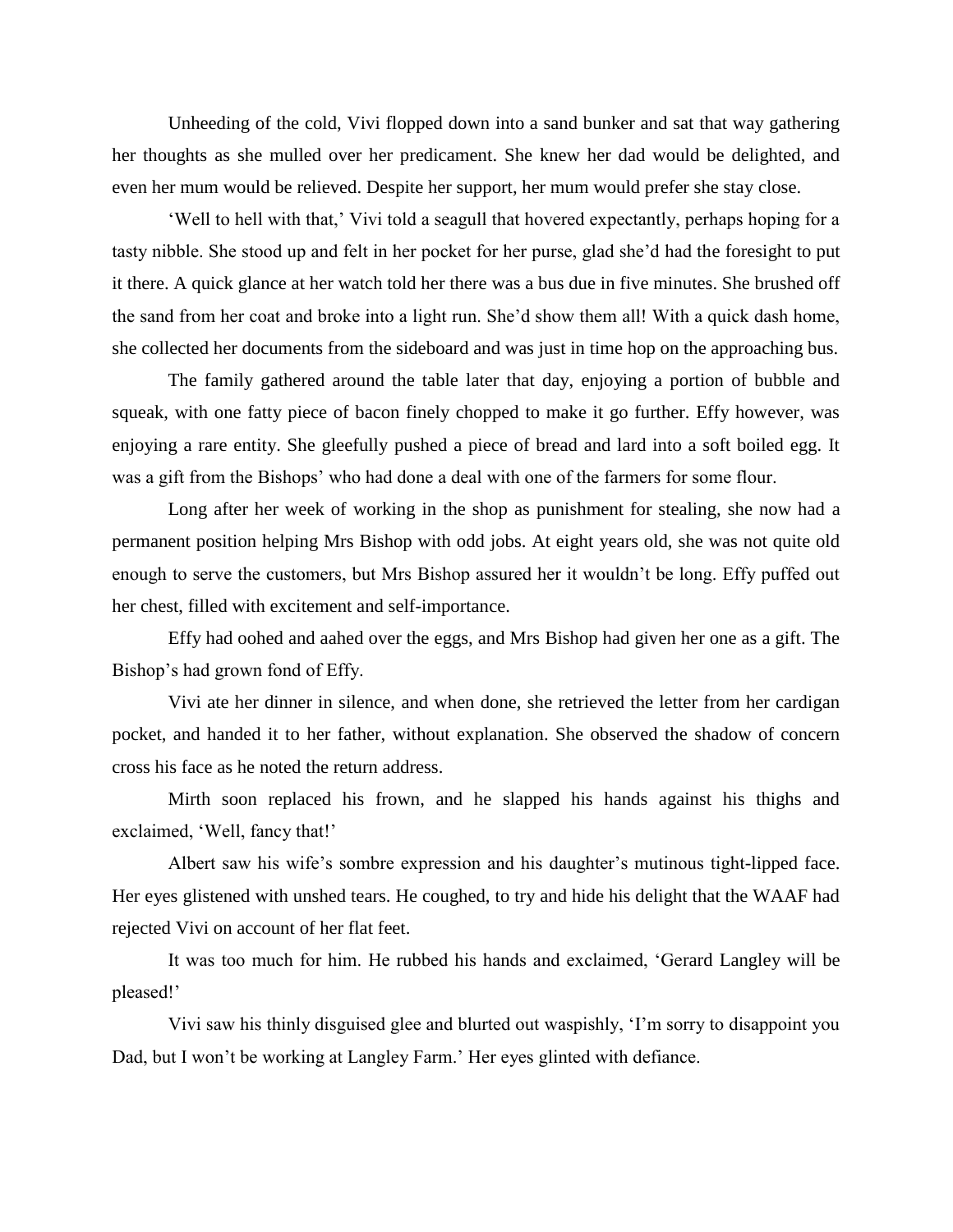Unheeding of the cold, Vivi flopped down into a sand bunker and sat that way gathering her thoughts as she mulled over her predicament. She knew her dad would be delighted, and even her mum would be relieved. Despite her support, her mum would prefer she stay close.

 'Well to hell with that,' Vivi told a seagull that hovered expectantly, perhaps hoping for a tasty nibble. She stood up and felt in her pocket for her purse, glad she'd had the foresight to put it there. A quick glance at her watch told her there was a bus due in five minutes. She brushed off the sand from her coat and broke into a light run. She'd show them all! With a quick dash home, she collected her documents from the sideboard and was just in time hop on the approaching bus.

 The family gathered around the table later that day, enjoying a portion of bubble and squeak, with one fatty piece of bacon finely chopped to make it go further. Effy however, was enjoying a rare entity. She gleefully pushed a piece of bread and lard into a soft boiled egg. It was a gift from the Bishops' who had done a deal with one of the farmers for some flour.

Long after her week of working in the shop as punishment for stealing, she now had a permanent position helping Mrs Bishop with odd jobs. At eight years old, she was not quite old enough to serve the customers, but Mrs Bishop assured her it wouldn't be long. Effy puffed out her chest, filled with excitement and self-importance.

 Effy had oohed and aahed over the eggs, and Mrs Bishop had given her one as a gift. The Bishop's had grown fond of Effy.

 Vivi ate her dinner in silence, and when done, she retrieved the letter from her cardigan pocket, and handed it to her father, without explanation. She observed the shadow of concern cross his face as he noted the return address.

 Mirth soon replaced his frown, and he slapped his hands against his thighs and exclaimed, 'Well, fancy that!'

 Albert saw his wife's sombre expression and his daughter's mutinous tight-lipped face. Her eyes glistened with unshed tears. He coughed, to try and hide his delight that the WAAF had rejected Vivi on account of her flat feet.

It was too much for him. He rubbed his hands and exclaimed, 'Gerard Langley will be pleased!'

 Vivi saw his thinly disguised glee and blurted out waspishly, 'I'm sorry to disappoint you Dad, but I won't be working at Langley Farm.' Her eyes glinted with defiance.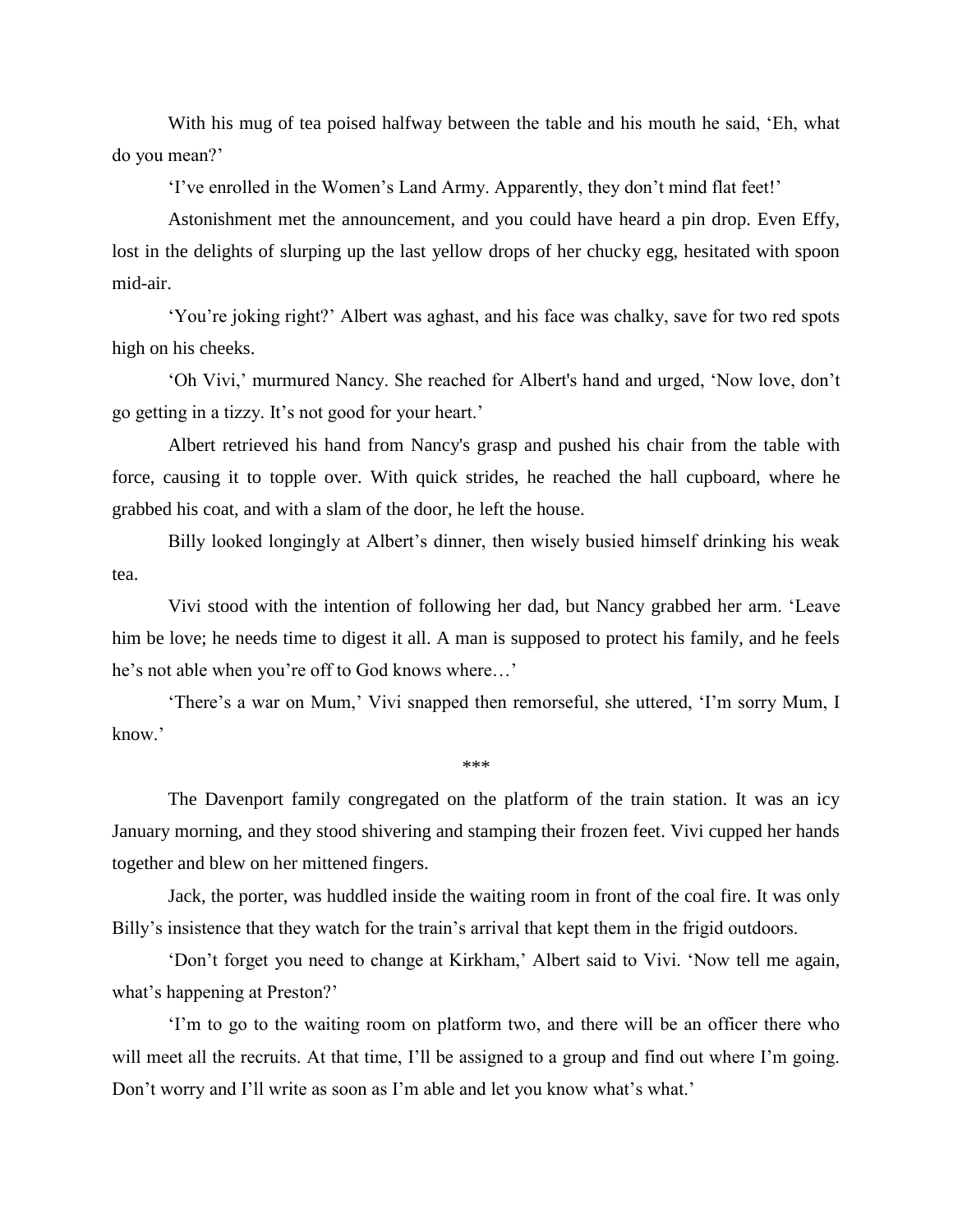With his mug of tea poised halfway between the table and his mouth he said, 'Eh, what do you mean?'

'I've enrolled in the Women's Land Army. Apparently, they don't mind flat feet!'

 Astonishment met the announcement, and you could have heard a pin drop. Even Effy, lost in the delights of slurping up the last yellow drops of her chucky egg, hesitated with spoon mid-air.

 'You're joking right?' Albert was aghast, and his face was chalky, save for two red spots high on his cheeks.

 'Oh Vivi,' murmured Nancy. She reached for Albert's hand and urged, 'Now love, don't go getting in a tizzy. It's not good for your heart.'

 Albert retrieved his hand from Nancy's grasp and pushed his chair from the table with force, causing it to topple over. With quick strides, he reached the hall cupboard, where he grabbed his coat, and with a slam of the door, he left the house.

 Billy looked longingly at Albert's dinner, then wisely busied himself drinking his weak tea.

 Vivi stood with the intention of following her dad, but Nancy grabbed her arm. 'Leave him be love; he needs time to digest it all. A man is supposed to protect his family, and he feels he's not able when you're off to God knows where…'

 'There's a war on Mum,' Vivi snapped then remorseful, she uttered, 'I'm sorry Mum, I know.'

\*\*\*

The Davenport family congregated on the platform of the train station. It was an icy January morning, and they stood shivering and stamping their frozen feet. Vivi cupped her hands together and blew on her mittened fingers.

 Jack, the porter, was huddled inside the waiting room in front of the coal fire. It was only Billy's insistence that they watch for the train's arrival that kept them in the frigid outdoors.

 'Don't forget you need to change at Kirkham,' Albert said to Vivi. 'Now tell me again, what's happening at Preston?'

 'I'm to go to the waiting room on platform two, and there will be an officer there who will meet all the recruits. At that time, I'll be assigned to a group and find out where I'm going. Don't worry and I'll write as soon as I'm able and let you know what's what.'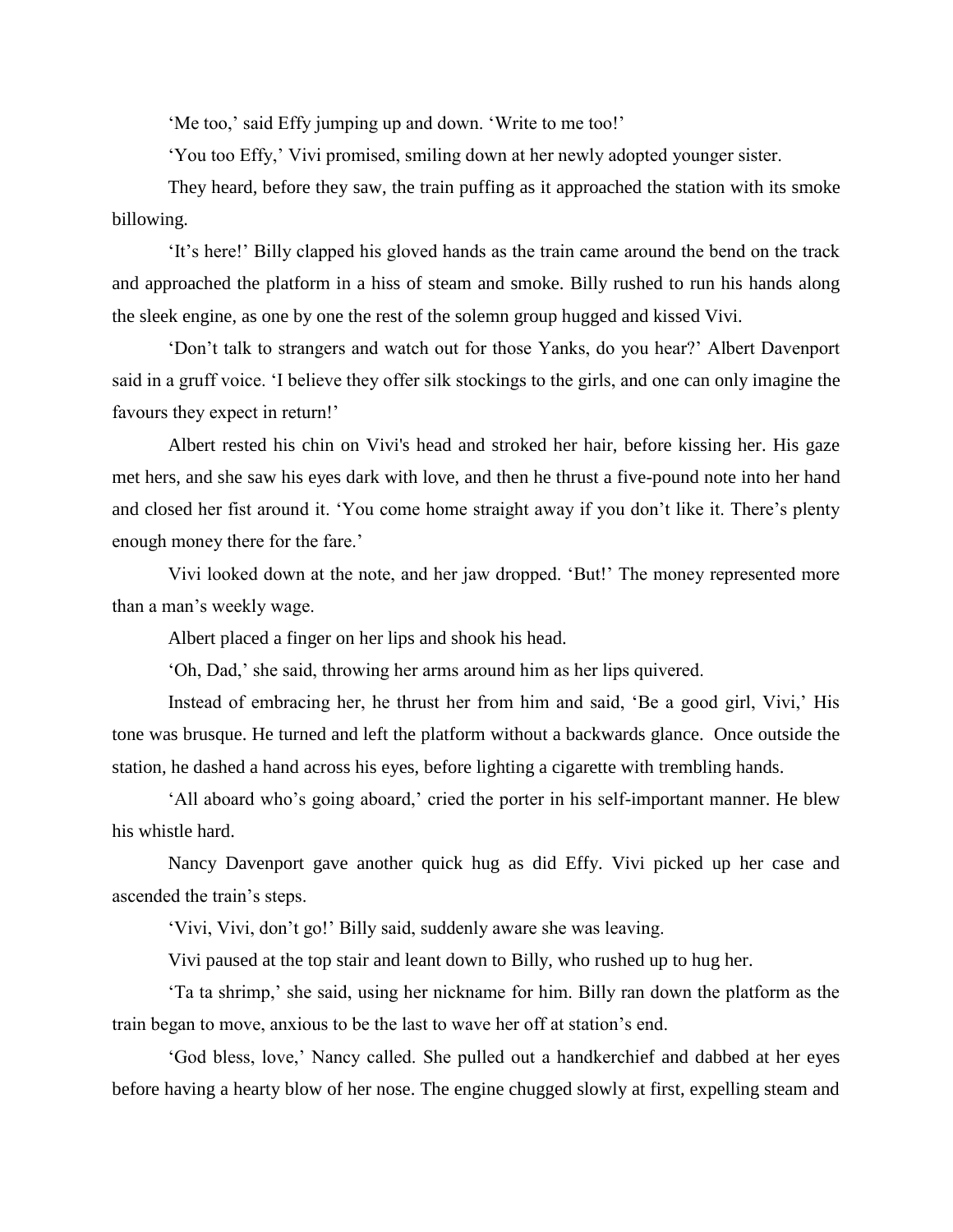'Me too,' said Effy jumping up and down. 'Write to me too!'

'You too Effy,' Vivi promised, smiling down at her newly adopted younger sister.

 They heard, before they saw, the train puffing as it approached the station with its smoke billowing.

 'It's here!' Billy clapped his gloved hands as the train came around the bend on the track and approached the platform in a hiss of steam and smoke. Billy rushed to run his hands along the sleek engine, as one by one the rest of the solemn group hugged and kissed Vivi.

 'Don't talk to strangers and watch out for those Yanks, do you hear?' Albert Davenport said in a gruff voice. 'I believe they offer silk stockings to the girls, and one can only imagine the favours they expect in return!'

 Albert rested his chin on Vivi's head and stroked her hair, before kissing her. His gaze met hers, and she saw his eyes dark with love, and then he thrust a five-pound note into her hand and closed her fist around it. 'You come home straight away if you don't like it. There's plenty enough money there for the fare.'

 Vivi looked down at the note, and her jaw dropped. 'But!' The money represented more than a man's weekly wage.

Albert placed a finger on her lips and shook his head.

'Oh, Dad,' she said, throwing her arms around him as her lips quivered.

 Instead of embracing her, he thrust her from him and said, 'Be a good girl, Vivi,' His tone was brusque. He turned and left the platform without a backwards glance. Once outside the station, he dashed a hand across his eyes, before lighting a cigarette with trembling hands.

 'All aboard who's going aboard,' cried the porter in his self-important manner. He blew his whistle hard.

 Nancy Davenport gave another quick hug as did Effy. Vivi picked up her case and ascended the train's steps.

'Vivi, Vivi, don't go!' Billy said, suddenly aware she was leaving.

Vivi paused at the top stair and leant down to Billy, who rushed up to hug her.

 'Ta ta shrimp,' she said, using her nickname for him. Billy ran down the platform as the train began to move, anxious to be the last to wave her off at station's end.

 'God bless, love,' Nancy called. She pulled out a handkerchief and dabbed at her eyes before having a hearty blow of her nose. The engine chugged slowly at first, expelling steam and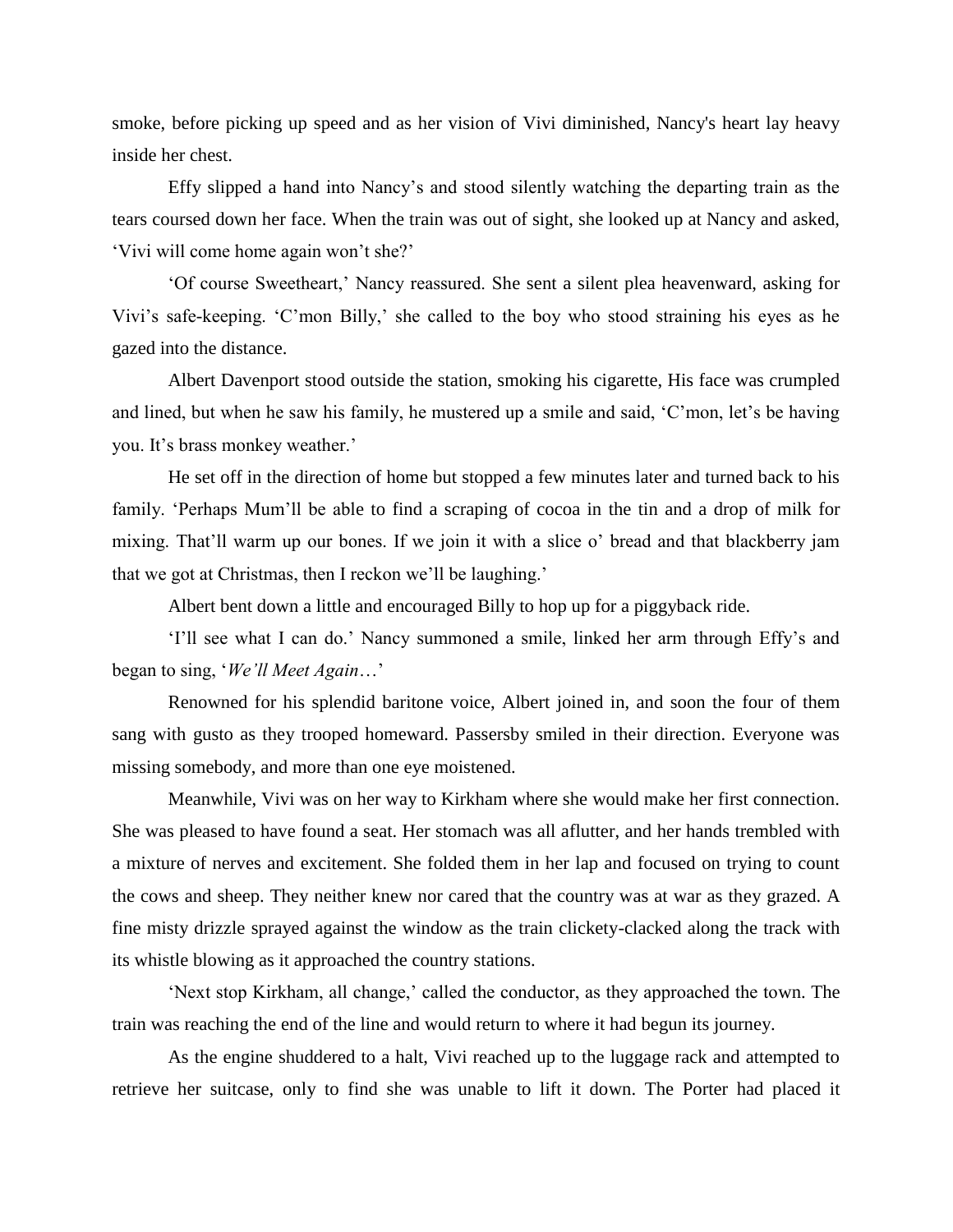smoke, before picking up speed and as her vision of Vivi diminished, Nancy's heart lay heavy inside her chest.

 Effy slipped a hand into Nancy's and stood silently watching the departing train as the tears coursed down her face. When the train was out of sight, she looked up at Nancy and asked, 'Vivi will come home again won't she?'

 'Of course Sweetheart,' Nancy reassured. She sent a silent plea heavenward, asking for Vivi's safe-keeping. 'C'mon Billy,' she called to the boy who stood straining his eyes as he gazed into the distance.

 Albert Davenport stood outside the station, smoking his cigarette, His face was crumpled and lined, but when he saw his family, he mustered up a smile and said, 'C'mon, let's be having you. It's brass monkey weather.'

 He set off in the direction of home but stopped a few minutes later and turned back to his family. 'Perhaps Mum'll be able to find a scraping of cocoa in the tin and a drop of milk for mixing. That'll warm up our bones. If we join it with a slice o' bread and that blackberry jam that we got at Christmas, then I reckon we'll be laughing.'

Albert bent down a little and encouraged Billy to hop up for a piggyback ride.

 'I'll see what I can do.' Nancy summoned a smile, linked her arm through Effy's and began to sing, '*We'll Meet Again*…'

 Renowned for his splendid baritone voice, Albert joined in, and soon the four of them sang with gusto as they trooped homeward. Passersby smiled in their direction. Everyone was missing somebody, and more than one eye moistened.

 Meanwhile, Vivi was on her way to Kirkham where she would make her first connection. She was pleased to have found a seat. Her stomach was all aflutter, and her hands trembled with a mixture of nerves and excitement. She folded them in her lap and focused on trying to count the cows and sheep. They neither knew nor cared that the country was at war as they grazed. A fine misty drizzle sprayed against the window as the train clickety-clacked along the track with its whistle blowing as it approached the country stations.

 'Next stop Kirkham, all change,' called the conductor, as they approached the town. The train was reaching the end of the line and would return to where it had begun its journey.

 As the engine shuddered to a halt, Vivi reached up to the luggage rack and attempted to retrieve her suitcase, only to find she was unable to lift it down. The Porter had placed it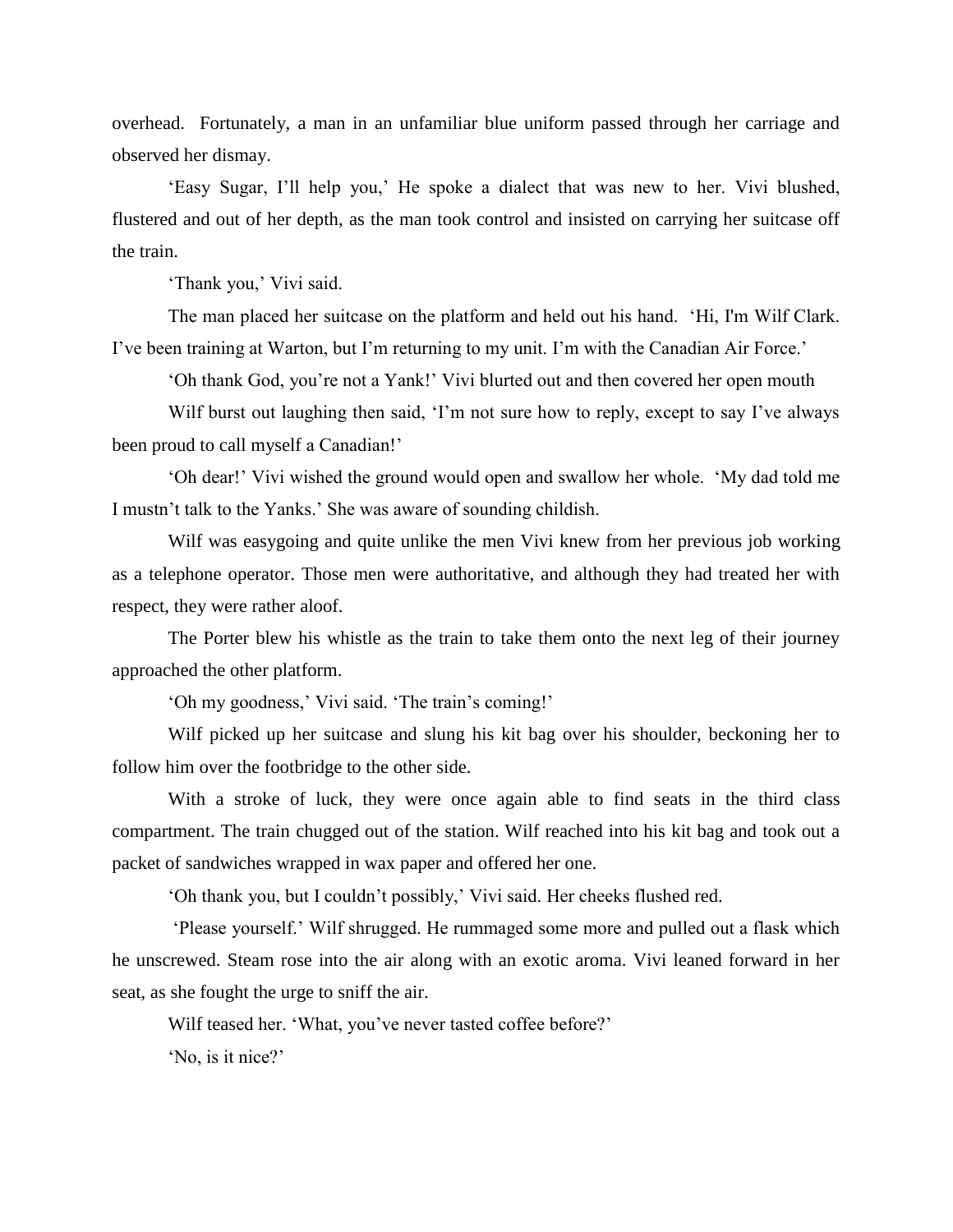overhead. Fortunately, a man in an unfamiliar blue uniform passed through her carriage and observed her dismay.

 'Easy Sugar, I'll help you,' He spoke a dialect that was new to her. Vivi blushed, flustered and out of her depth, as the man took control and insisted on carrying her suitcase off the train.

'Thank you,' Vivi said.

 The man placed her suitcase on the platform and held out his hand. 'Hi, I'm Wilf Clark. I've been training at Warton, but I'm returning to my unit. I'm with the Canadian Air Force.'

'Oh thank God, you're not a Yank!' Vivi blurted out and then covered her open mouth

Wilf burst out laughing then said, 'I'm not sure how to reply, except to say I've always been proud to call myself a Canadian!'

 'Oh dear!' Vivi wished the ground would open and swallow her whole. 'My dad told me I mustn't talk to the Yanks.' She was aware of sounding childish.

 Wilf was easygoing and quite unlike the men Vivi knew from her previous job working as a telephone operator. Those men were authoritative, and although they had treated her with respect, they were rather aloof.

 The Porter blew his whistle as the train to take them onto the next leg of their journey approached the other platform.

'Oh my goodness,' Vivi said. 'The train's coming!'

Wilf picked up her suitcase and slung his kit bag over his shoulder, beckoning her to follow him over the footbridge to the other side.

 With a stroke of luck, they were once again able to find seats in the third class compartment. The train chugged out of the station. Wilf reached into his kit bag and took out a packet of sandwiches wrapped in wax paper and offered her one.

'Oh thank you, but I couldn't possibly,' Vivi said. Her cheeks flushed red.

 'Please yourself.' Wilf shrugged. He rummaged some more and pulled out a flask which he unscrewed. Steam rose into the air along with an exotic aroma. Vivi leaned forward in her seat, as she fought the urge to sniff the air.

Wilf teased her. 'What, you've never tasted coffee before?'

'No, is it nice?'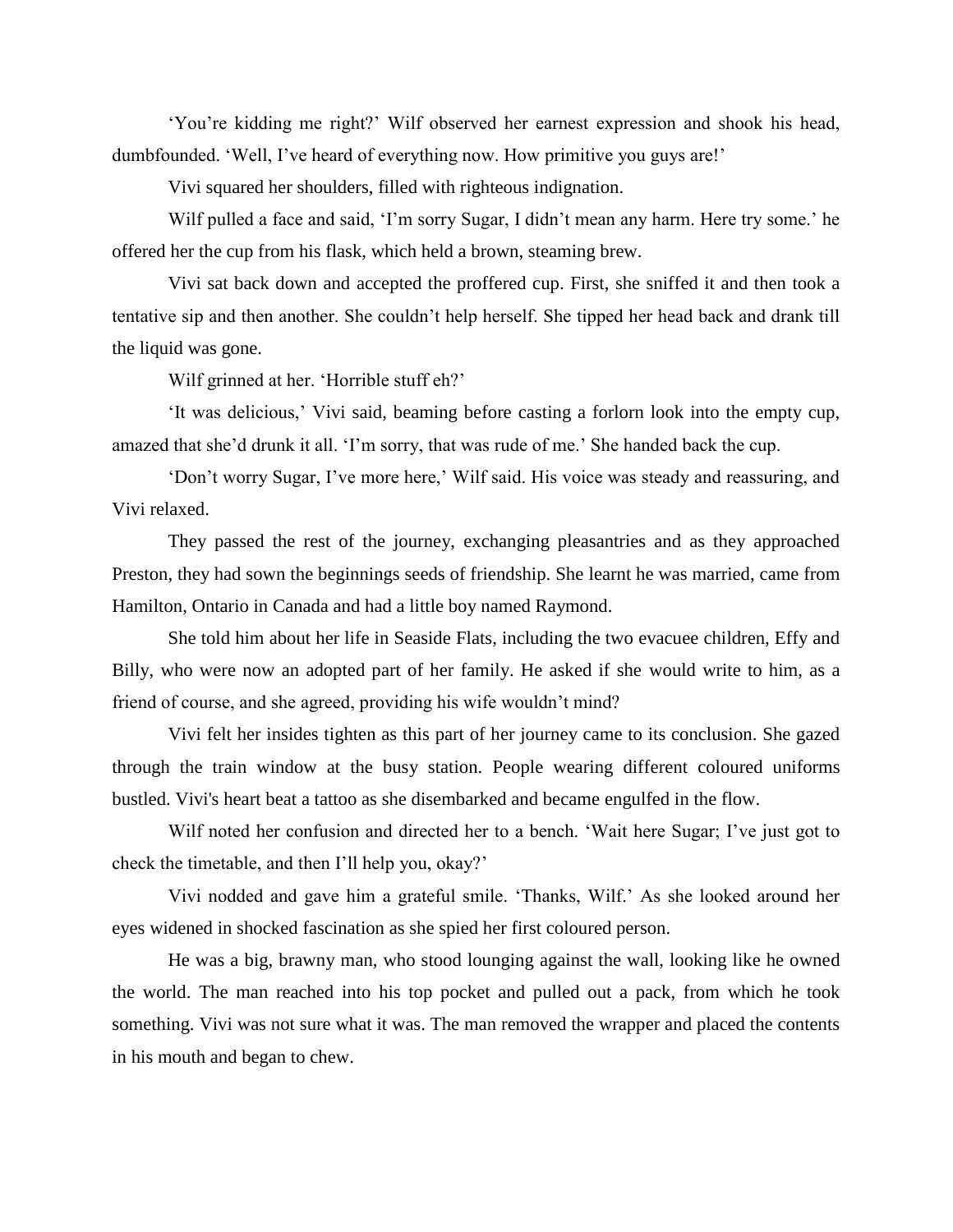'You're kidding me right?' Wilf observed her earnest expression and shook his head, dumbfounded. 'Well, I've heard of everything now. How primitive you guys are!'

Vivi squared her shoulders, filled with righteous indignation.

 Wilf pulled a face and said, 'I'm sorry Sugar, I didn't mean any harm. Here try some.' he offered her the cup from his flask, which held a brown, steaming brew.

 Vivi sat back down and accepted the proffered cup. First, she sniffed it and then took a tentative sip and then another. She couldn't help herself. She tipped her head back and drank till the liquid was gone.

Wilf grinned at her. 'Horrible stuff eh?'

 'It was delicious,' Vivi said, beaming before casting a forlorn look into the empty cup, amazed that she'd drunk it all. 'I'm sorry, that was rude of me.' She handed back the cup.

 'Don't worry Sugar, I've more here,' Wilf said. His voice was steady and reassuring, and Vivi relaxed.

 They passed the rest of the journey, exchanging pleasantries and as they approached Preston, they had sown the beginnings seeds of friendship. She learnt he was married, came from Hamilton, Ontario in Canada and had a little boy named Raymond.

She told him about her life in Seaside Flats, including the two evacuee children, Effy and Billy, who were now an adopted part of her family. He asked if she would write to him, as a friend of course, and she agreed, providing his wife wouldn't mind?

 Vivi felt her insides tighten as this part of her journey came to its conclusion. She gazed through the train window at the busy station. People wearing different coloured uniforms bustled. Vivi's heart beat a tattoo as she disembarked and became engulfed in the flow.

 Wilf noted her confusion and directed her to a bench. 'Wait here Sugar; I've just got to check the timetable, and then I'll help you, okay?'

 Vivi nodded and gave him a grateful smile. 'Thanks, Wilf.' As she looked around her eyes widened in shocked fascination as she spied her first coloured person.

 He was a big, brawny man, who stood lounging against the wall, looking like he owned the world. The man reached into his top pocket and pulled out a pack, from which he took something. Vivi was not sure what it was. The man removed the wrapper and placed the contents in his mouth and began to chew.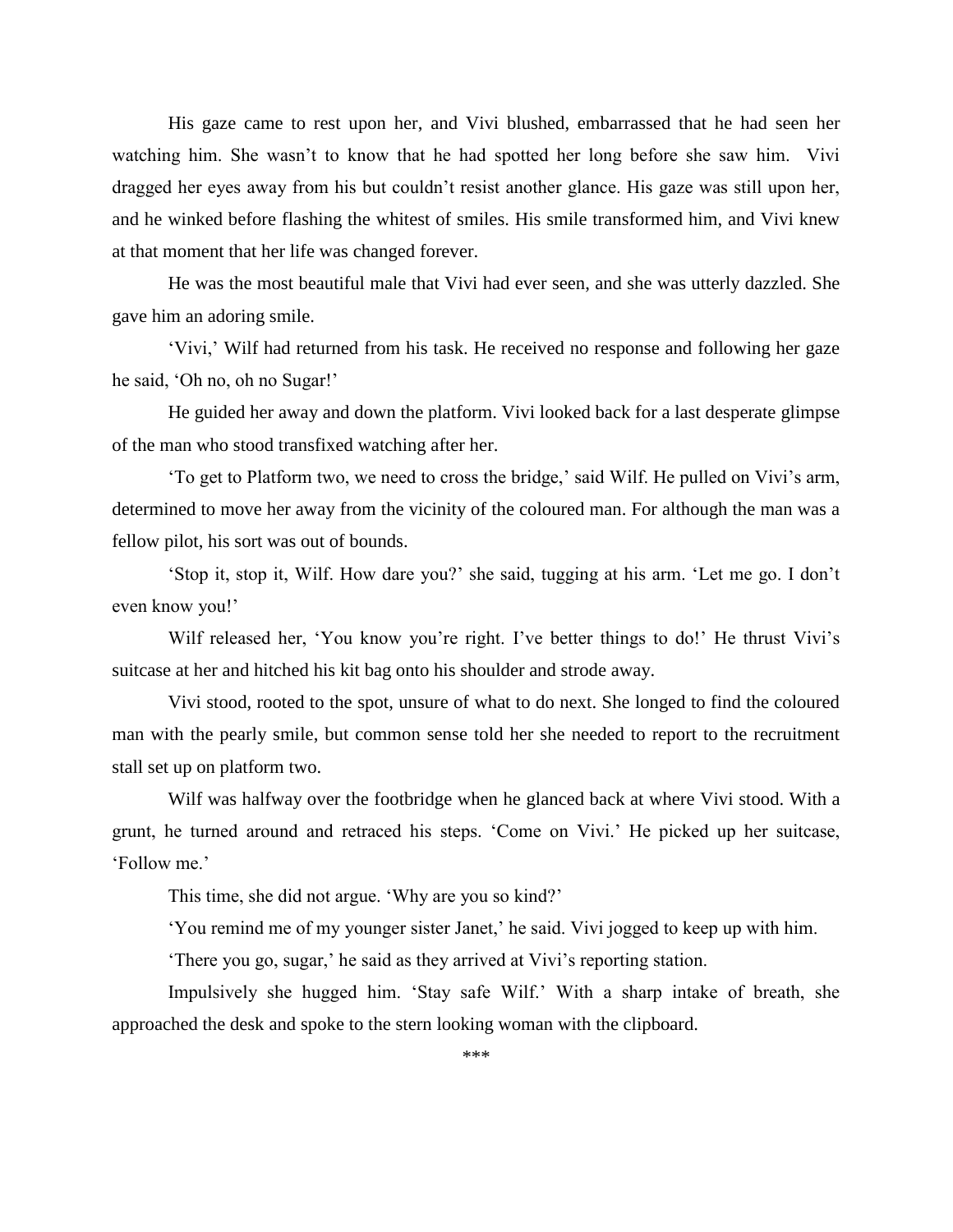His gaze came to rest upon her, and Vivi blushed, embarrassed that he had seen her watching him. She wasn't to know that he had spotted her long before she saw him. Vivi dragged her eyes away from his but couldn't resist another glance. His gaze was still upon her, and he winked before flashing the whitest of smiles. His smile transformed him, and Vivi knew at that moment that her life was changed forever.

 He was the most beautiful male that Vivi had ever seen, and she was utterly dazzled. She gave him an adoring smile.

 'Vivi,' Wilf had returned from his task. He received no response and following her gaze he said, 'Oh no, oh no Sugar!'

He guided her away and down the platform. Vivi looked back for a last desperate glimpse of the man who stood transfixed watching after her.

 'To get to Platform two, we need to cross the bridge,' said Wilf. He pulled on Vivi's arm, determined to move her away from the vicinity of the coloured man. For although the man was a fellow pilot, his sort was out of bounds.

 'Stop it, stop it, Wilf. How dare you?' she said, tugging at his arm. 'Let me go. I don't even know you!'

Wilf released her, 'You know you're right. I've better things to do!' He thrust Vivi's suitcase at her and hitched his kit bag onto his shoulder and strode away.

 Vivi stood, rooted to the spot, unsure of what to do next. She longed to find the coloured man with the pearly smile, but common sense told her she needed to report to the recruitment stall set up on platform two.

 Wilf was halfway over the footbridge when he glanced back at where Vivi stood. With a grunt, he turned around and retraced his steps. 'Come on Vivi.' He picked up her suitcase, 'Follow me.'

This time, she did not argue. 'Why are you so kind?'

'You remind me of my younger sister Janet,' he said. Vivi jogged to keep up with him.

'There you go, sugar,' he said as they arrived at Vivi's reporting station.

Impulsively she hugged him. 'Stay safe Wilf.' With a sharp intake of breath, she approached the desk and spoke to the stern looking woman with the clipboard.